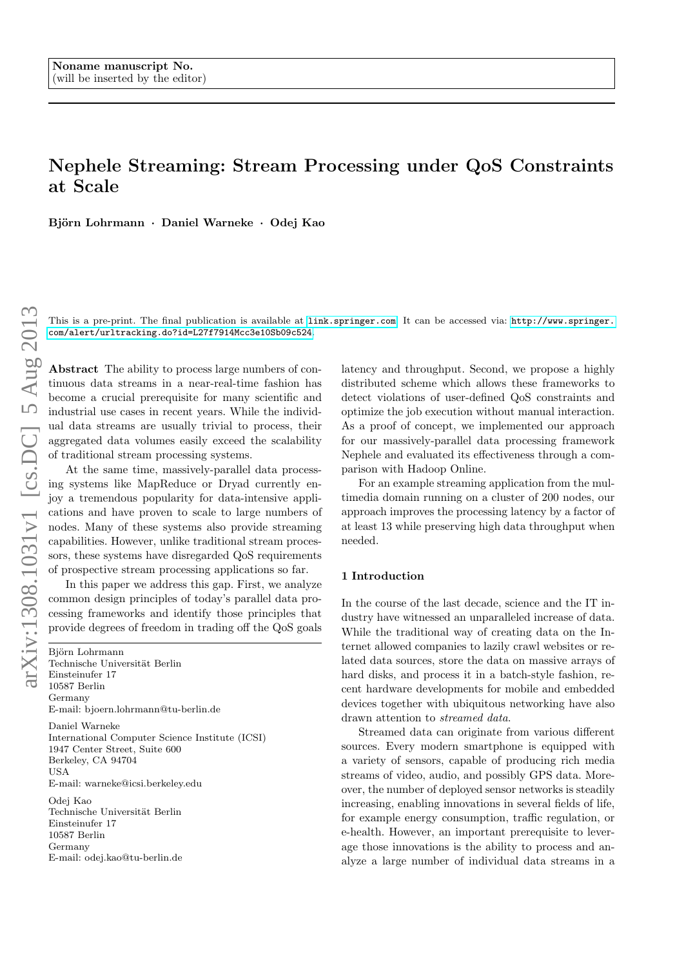# Nephele Streaming: Stream Processing under QoS Constraints at Scale

Björn Lohrmann · Daniel Warneke · Odej Kao

This is a pre-print. The final publication is available at <link.springer.com>. It can be accessed via: [http://www.springer.](http://www.springer.com/alert/urltracking.do?id=L27f7914Mcc3e10Sb09c524) [com/alert/urltracking.do?id=L27f7914Mcc3e10Sb09c524](http://www.springer.com/alert/urltracking.do?id=L27f7914Mcc3e10Sb09c524).

Abstract The ability to process large numbers of continuous data streams in a near-real-time fashion has become a crucial prerequisite for many scientific and industrial use cases in recent years. While the individual data streams are usually trivial to process, their aggregated data volumes easily exceed the scalability of traditional stream processing systems.

At the same time, massively-parallel data processing systems like MapReduce or Dryad currently enjoy a tremendous popularity for data-intensive applications and have proven to scale to large numbers of nodes. Many of these systems also provide streaming capabilities. However, unlike traditional stream processors, these systems have disregarded QoS requirements of prospective stream processing applications so far.

In this paper we address this gap. First, we analyze common design principles of today's parallel data processing frameworks and identify those principles that provide degrees of freedom in trading off the QoS goals

Björn Lohrmann Technische Universität Berlin Einsteinufer 17 10587 Berlin Germany E-mail: bjoern.lohrmann@tu-berlin.de Daniel Warneke International Computer Science Institute (ICSI) 1947 Center Street, Suite 600 Berkeley, CA 94704 USA E-mail: warneke@icsi.berkeley.edu Odej Kao Technische Universität Berlin Einsteinufer 17 10587 Berlin

latency and throughput. Second, we propose a highly distributed scheme which allows these frameworks to detect violations of user-defined QoS constraints and optimize the job execution without manual interaction. As a proof of concept, we implemented our approach for our massively-parallel data processing framework Nephele and evaluated its effectiveness through a comparison with Hadoop Online.

For an example streaming application from the multimedia domain running on a cluster of 200 nodes, our approach improves the processing latency by a factor of at least 13 while preserving high data throughput when needed.

# 1 Introduction

In the course of the last decade, science and the IT industry have witnessed an unparalleled increase of data. While the traditional way of creating data on the Internet allowed companies to lazily crawl websites or related data sources, store the data on massive arrays of hard disks, and process it in a batch-style fashion, recent hardware developments for mobile and embedded devices together with ubiquitous networking have also drawn attention to streamed data.

Streamed data can originate from various different sources. Every modern smartphone is equipped with a variety of sensors, capable of producing rich media streams of video, audio, and possibly GPS data. Moreover, the number of deployed sensor networks is steadily increasing, enabling innovations in several fields of life, for example energy consumption, traffic regulation, or e-health. However, an important prerequisite to leverage those innovations is the ability to process and analyze a large number of individual data streams in a

Germany

E-mail: odej.kao@tu-berlin.de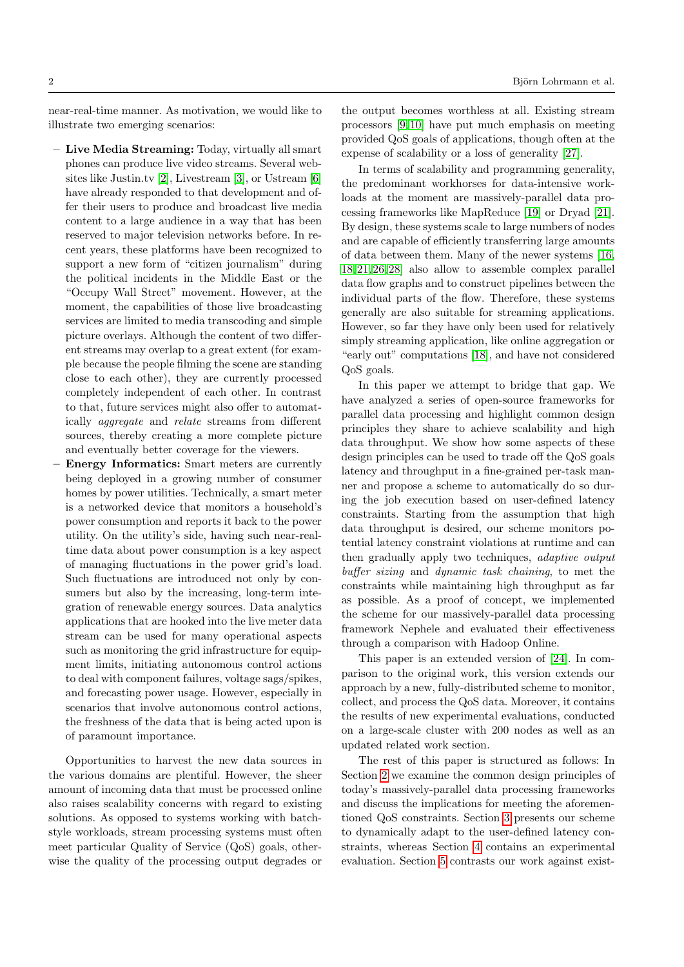near-real-time manner. As motivation, we would like to illustrate two emerging scenarios:

- Live Media Streaming: Today, virtually all smart phones can produce live video streams. Several websites like Justin.tv [\[2\]](#page-17-0), Livestream [\[3\]](#page-17-1), or Ustream [\[6\]](#page-17-2) have already responded to that development and offer their users to produce and broadcast live media content to a large audience in a way that has been reserved to major television networks before. In recent years, these platforms have been recognized to support a new form of "citizen journalism" during the political incidents in the Middle East or the "Occupy Wall Street" movement. However, at the moment, the capabilities of those live broadcasting services are limited to media transcoding and simple picture overlays. Although the content of two different streams may overlap to a great extent (for example because the people filming the scene are standing close to each other), they are currently processed completely independent of each other. In contrast to that, future services might also offer to automatically aggregate and relate streams from different sources, thereby creating a more complete picture and eventually better coverage for the viewers.
- Energy Informatics: Smart meters are currently being deployed in a growing number of consumer homes by power utilities. Technically, a smart meter is a networked device that monitors a household's power consumption and reports it back to the power utility. On the utility's side, having such near-realtime data about power consumption is a key aspect of managing fluctuations in the power grid's load. Such fluctuations are introduced not only by consumers but also by the increasing, long-term integration of renewable energy sources. Data analytics applications that are hooked into the live meter data stream can be used for many operational aspects such as monitoring the grid infrastructure for equipment limits, initiating autonomous control actions to deal with component failures, voltage sags/spikes, and forecasting power usage. However, especially in scenarios that involve autonomous control actions, the freshness of the data that is being acted upon is of paramount importance.

Opportunities to harvest the new data sources in the various domains are plentiful. However, the sheer amount of incoming data that must be processed online also raises scalability concerns with regard to existing solutions. As opposed to systems working with batchstyle workloads, stream processing systems must often meet particular Quality of Service (QoS) goals, otherwise the quality of the processing output degrades or

the output becomes worthless at all. Existing stream processors [\[9,](#page-17-3) [10\]](#page-17-4) have put much emphasis on meeting provided QoS goals of applications, though often at the expense of scalability or a loss of generality [\[27\]](#page-18-0).

In terms of scalability and programming generality, the predominant workhorses for data-intensive workloads at the moment are massively-parallel data processing frameworks like MapReduce [\[19\]](#page-18-1) or Dryad [\[21\]](#page-18-2). By design, these systems scale to large numbers of nodes and are capable of efficiently transferring large amounts of data between them. Many of the newer systems [\[16,](#page-17-5) [18,](#page-17-6) [21,](#page-18-2) [26,](#page-18-3) [28\]](#page-18-4) also allow to assemble complex parallel data flow graphs and to construct pipelines between the individual parts of the flow. Therefore, these systems generally are also suitable for streaming applications. However, so far they have only been used for relatively simply streaming application, like online aggregation or "early out" computations [\[18\]](#page-17-6), and have not considered QoS goals.

In this paper we attempt to bridge that gap. We have analyzed a series of open-source frameworks for parallel data processing and highlight common design principles they share to achieve scalability and high data throughput. We show how some aspects of these design principles can be used to trade off the QoS goals latency and throughput in a fine-grained per-task manner and propose a scheme to automatically do so during the job execution based on user-defined latency constraints. Starting from the assumption that high data throughput is desired, our scheme monitors potential latency constraint violations at runtime and can then gradually apply two techniques, adaptive output buffer sizing and dynamic task chaining, to met the constraints while maintaining high throughput as far as possible. As a proof of concept, we implemented the scheme for our massively-parallel data processing framework Nephele and evaluated their effectiveness through a comparison with Hadoop Online.

This paper is an extended version of [\[24\]](#page-18-5). In comparison to the original work, this version extends our approach by a new, fully-distributed scheme to monitor, collect, and process the QoS data. Moreover, it contains the results of new experimental evaluations, conducted on a large-scale cluster with 200 nodes as well as an updated related work section.

The rest of this paper is structured as follows: In Section [2](#page-2-0) we examine the common design principles of today's massively-parallel data processing frameworks and discuss the implications for meeting the aforementioned QoS constraints. Section [3](#page-5-0) presents our scheme to dynamically adapt to the user-defined latency constraints, whereas Section [4](#page-11-0) contains an experimental evaluation. Section [5](#page-16-0) contrasts our work against exist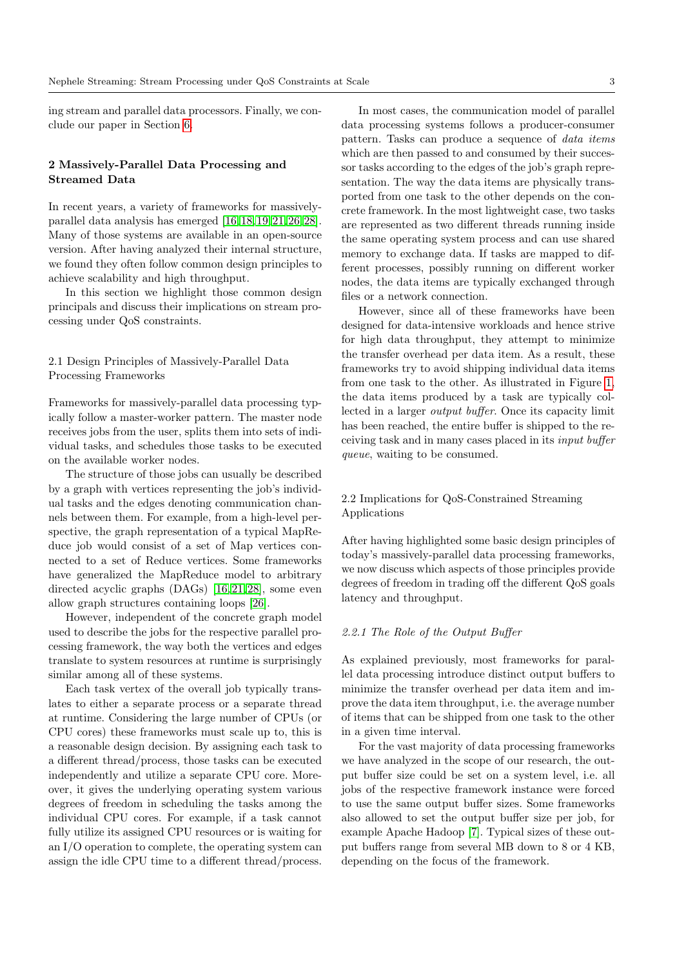ing stream and parallel data processors. Finally, we conclude our paper in Section [6.](#page-17-7)

# <span id="page-2-0"></span>2 Massively-Parallel Data Processing and Streamed Data

In recent years, a variety of frameworks for massivelyparallel data analysis has emerged [\[16,](#page-17-5) [18,](#page-17-6) [19,](#page-18-1) [21,](#page-18-2) [26,](#page-18-3) [28\]](#page-18-4). Many of those systems are available in an open-source version. After having analyzed their internal structure, we found they often follow common design principles to achieve scalability and high throughput.

In this section we highlight those common design principals and discuss their implications on stream processing under QoS constraints.

<span id="page-2-1"></span>2.1 Design Principles of Massively-Parallel Data Processing Frameworks

Frameworks for massively-parallel data processing typically follow a master-worker pattern. The master node receives jobs from the user, splits them into sets of individual tasks, and schedules those tasks to be executed on the available worker nodes.

The structure of those jobs can usually be described by a graph with vertices representing the job's individual tasks and the edges denoting communication channels between them. For example, from a high-level perspective, the graph representation of a typical MapReduce job would consist of a set of Map vertices connected to a set of Reduce vertices. Some frameworks have generalized the MapReduce model to arbitrary directed acyclic graphs (DAGs) [\[16,](#page-17-5) [21,](#page-18-2) [28\]](#page-18-4), some even allow graph structures containing loops [\[26\]](#page-18-3).

However, independent of the concrete graph model used to describe the jobs for the respective parallel processing framework, the way both the vertices and edges translate to system resources at runtime is surprisingly similar among all of these systems.

Each task vertex of the overall job typically translates to either a separate process or a separate thread at runtime. Considering the large number of CPUs (or CPU cores) these frameworks must scale up to, this is a reasonable design decision. By assigning each task to a different thread/process, those tasks can be executed independently and utilize a separate CPU core. Moreover, it gives the underlying operating system various degrees of freedom in scheduling the tasks among the individual CPU cores. For example, if a task cannot fully utilize its assigned CPU resources or is waiting for an I/O operation to complete, the operating system can assign the idle CPU time to a different thread/process.

In most cases, the communication model of parallel data processing systems follows a producer-consumer pattern. Tasks can produce a sequence of data items which are then passed to and consumed by their successor tasks according to the edges of the job's graph representation. The way the data items are physically transported from one task to the other depends on the concrete framework. In the most lightweight case, two tasks are represented as two different threads running inside the same operating system process and can use shared memory to exchange data. If tasks are mapped to different processes, possibly running on different worker nodes, the data items are typically exchanged through files or a network connection.

However, since all of these frameworks have been designed for data-intensive workloads and hence strive for high data throughput, they attempt to minimize the transfer overhead per data item. As a result, these frameworks try to avoid shipping individual data items from one task to the other. As illustrated in Figure [1,](#page-3-0) the data items produced by a task are typically collected in a larger output buffer. Once its capacity limit has been reached, the entire buffer is shipped to the receiving task and in many cases placed in its input buffer queue, waiting to be consumed.

# 2.2 Implications for QoS-Constrained Streaming Applications

After having highlighted some basic design principles of today's massively-parallel data processing frameworks, we now discuss which aspects of those principles provide degrees of freedom in trading off the different QoS goals latency and throughput.

# 2.2.1 The Role of the Output Buffer

As explained previously, most frameworks for parallel data processing introduce distinct output buffers to minimize the transfer overhead per data item and improve the data item throughput, i.e. the average number of items that can be shipped from one task to the other in a given time interval.

For the vast majority of data processing frameworks we have analyzed in the scope of our research, the output buffer size could be set on a system level, i.e. all jobs of the respective framework instance were forced to use the same output buffer sizes. Some frameworks also allowed to set the output buffer size per job, for example Apache Hadoop [\[7\]](#page-17-8). Typical sizes of these output buffers range from several MB down to 8 or 4 KB, depending on the focus of the framework.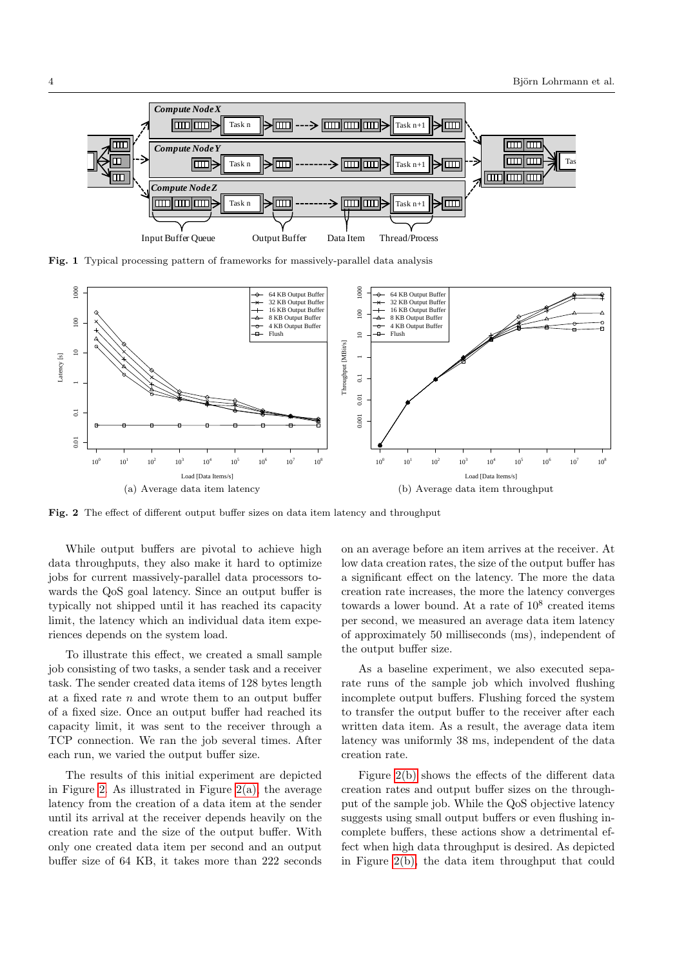

<span id="page-3-0"></span>Fig. 1 Typical processing pattern of frameworks for massively-parallel data analysis



<span id="page-3-2"></span><span id="page-3-1"></span>Fig. 2 The effect of different output buffer sizes on data item latency and throughput

While output buffers are pivotal to achieve high data throughputs, they also make it hard to optimize jobs for current massively-parallel data processors towards the QoS goal latency. Since an output buffer is typically not shipped until it has reached its capacity limit, the latency which an individual data item experiences depends on the system load.

To illustrate this effect, we created a small sample job consisting of two tasks, a sender task and a receiver task. The sender created data items of 128 bytes length at a fixed rate  $n$  and wrote them to an output buffer of a fixed size. Once an output buffer had reached its capacity limit, it was sent to the receiver through a TCP connection. We ran the job several times. After each run, we varied the output buffer size.

The results of this initial experiment are depicted in Figure [2.](#page-3-1) As illustrated in Figure  $2(a)$ , the average latency from the creation of a data item at the sender until its arrival at the receiver depends heavily on the creation rate and the size of the output buffer. With only one created data item per second and an output buffer size of 64 KB, it takes more than 222 seconds

<span id="page-3-3"></span>on an average before an item arrives at the receiver. At low data creation rates, the size of the output buffer has a significant effect on the latency. The more the data creation rate increases, the more the latency converges towards a lower bound. At a rate of  $10^8$  created items per second, we measured an average data item latency of approximately 50 milliseconds (ms), independent of the output buffer size.

As a baseline experiment, we also executed separate runs of the sample job which involved flushing incomplete output buffers. Flushing forced the system to transfer the output buffer to the receiver after each written data item. As a result, the average data item latency was uniformly 38 ms, independent of the data creation rate.

Figure [2\(b\)](#page-3-3) shows the effects of the different data creation rates and output buffer sizes on the throughput of the sample job. While the QoS objective latency suggests using small output buffers or even flushing incomplete buffers, these actions show a detrimental effect when high data throughput is desired. As depicted in Figure [2\(b\),](#page-3-3) the data item throughput that could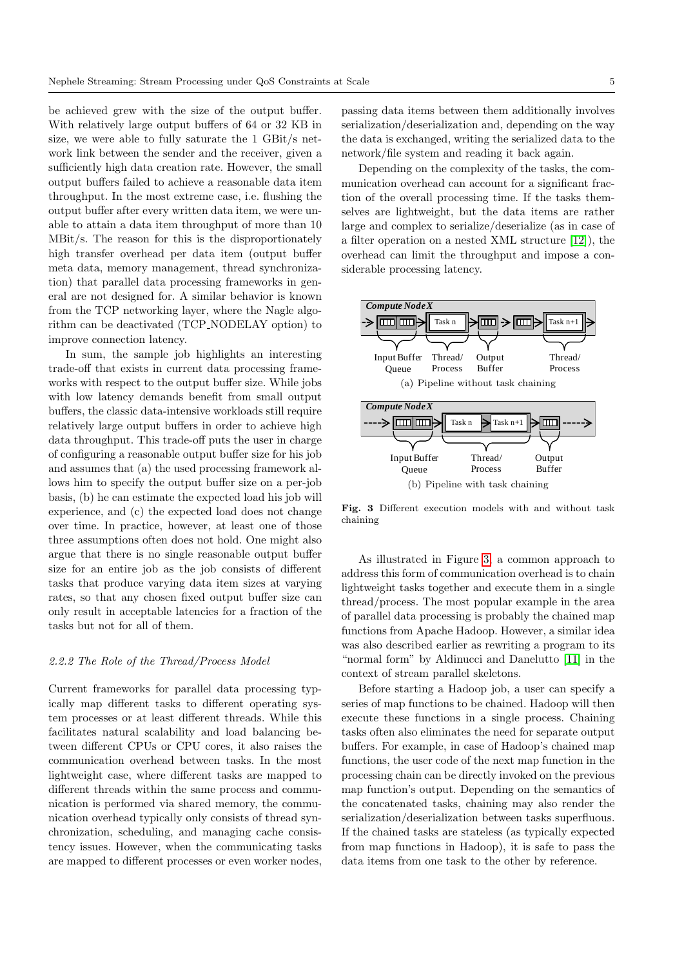be achieved grew with the size of the output buffer. With relatively large output buffers of 64 or 32 KB in size, we were able to fully saturate the 1 GBit/s network link between the sender and the receiver, given a sufficiently high data creation rate. However, the small output buffers failed to achieve a reasonable data item throughput. In the most extreme case, i.e. flushing the output buffer after every written data item, we were unable to attain a data item throughput of more than 10 MBit/s. The reason for this is the disproportionately high transfer overhead per data item (output buffer meta data, memory management, thread synchronization) that parallel data processing frameworks in general are not designed for. A similar behavior is known from the TCP networking layer, where the Nagle algorithm can be deactivated (TCP NODELAY option) to improve connection latency.

In sum, the sample job highlights an interesting trade-off that exists in current data processing frameworks with respect to the output buffer size. While jobs with low latency demands benefit from small output buffers, the classic data-intensive workloads still require relatively large output buffers in order to achieve high data throughput. This trade-off puts the user in charge of configuring a reasonable output buffer size for his job and assumes that (a) the used processing framework allows him to specify the output buffer size on a per-job basis, (b) he can estimate the expected load his job will experience, and (c) the expected load does not change over time. In practice, however, at least one of those three assumptions often does not hold. One might also argue that there is no single reasonable output buffer size for an entire job as the job consists of different tasks that produce varying data item sizes at varying rates, so that any chosen fixed output buffer size can only result in acceptable latencies for a fraction of the tasks but not for all of them.

# 2.2.2 The Role of the Thread/Process Model

Current frameworks for parallel data processing typically map different tasks to different operating system processes or at least different threads. While this facilitates natural scalability and load balancing between different CPUs or CPU cores, it also raises the communication overhead between tasks. In the most lightweight case, where different tasks are mapped to different threads within the same process and communication is performed via shared memory, the communication overhead typically only consists of thread synchronization, scheduling, and managing cache consistency issues. However, when the communicating tasks are mapped to different processes or even worker nodes,

passing data items between them additionally involves serialization/deserialization and, depending on the way the data is exchanged, writing the serialized data to the network/file system and reading it back again.

Depending on the complexity of the tasks, the communication overhead can account for a significant fraction of the overall processing time. If the tasks themselves are lightweight, but the data items are rather large and complex to serialize/deserialize (as in case of a filter operation on a nested XML structure [\[12\]](#page-17-9)), the overhead can limit the throughput and impose a considerable processing latency.



<span id="page-4-0"></span>(b) Pipeline with task chaining

Fig. 3 Different execution models with and without task chaining

As illustrated in Figure [3,](#page-4-0) a common approach to address this form of communication overhead is to chain lightweight tasks together and execute them in a single thread/process. The most popular example in the area of parallel data processing is probably the chained map functions from Apache Hadoop. However, a similar idea was also described earlier as rewriting a program to its "normal form" by Aldinucci and Danelutto [\[11\]](#page-17-10) in the context of stream parallel skeletons.

Before starting a Hadoop job, a user can specify a series of map functions to be chained. Hadoop will then execute these functions in a single process. Chaining tasks often also eliminates the need for separate output buffers. For example, in case of Hadoop's chained map functions, the user code of the next map function in the processing chain can be directly invoked on the previous map function's output. Depending on the semantics of the concatenated tasks, chaining may also render the serialization/deserialization between tasks superfluous. If the chained tasks are stateless (as typically expected from map functions in Hadoop), it is safe to pass the data items from one task to the other by reference.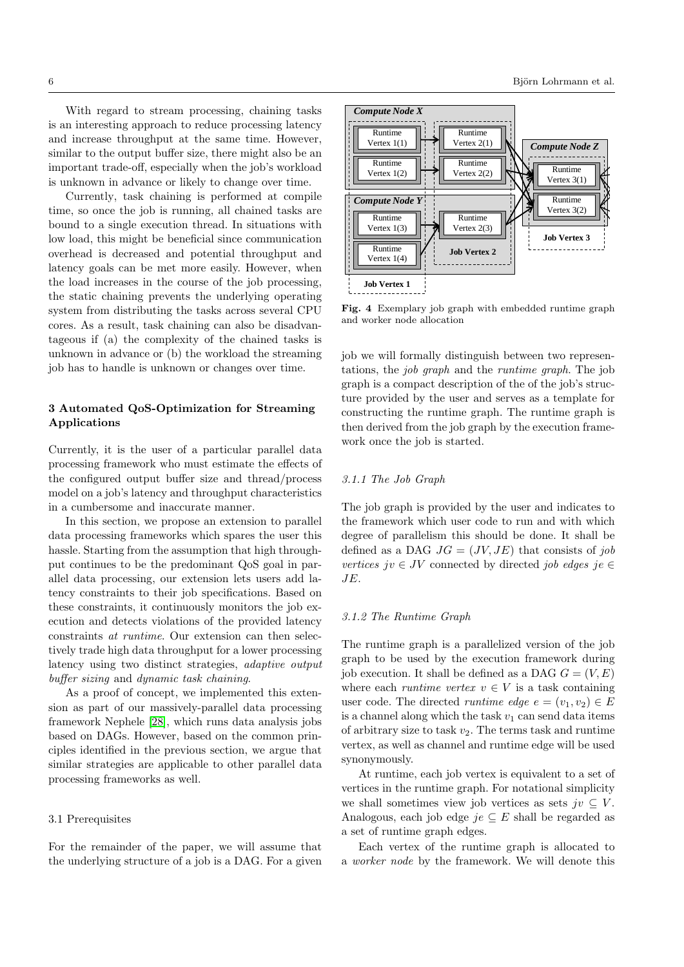With regard to stream processing, chaining tasks is an interesting approach to reduce processing latency and increase throughput at the same time. However, similar to the output buffer size, there might also be an important trade-off, especially when the job's workload is unknown in advance or likely to change over time.

Currently, task chaining is performed at compile time, so once the job is running, all chained tasks are bound to a single execution thread. In situations with low load, this might be beneficial since communication overhead is decreased and potential throughput and latency goals can be met more easily. However, when the load increases in the course of the job processing, the static chaining prevents the underlying operating system from distributing the tasks across several CPU cores. As a result, task chaining can also be disadvantageous if (a) the complexity of the chained tasks is unknown in advance or (b) the workload the streaming job has to handle is unknown or changes over time.

# <span id="page-5-0"></span>3 Automated QoS-Optimization for Streaming Applications

Currently, it is the user of a particular parallel data processing framework who must estimate the effects of the configured output buffer size and thread/process model on a job's latency and throughput characteristics in a cumbersome and inaccurate manner.

In this section, we propose an extension to parallel data processing frameworks which spares the user this hassle. Starting from the assumption that high throughput continues to be the predominant QoS goal in parallel data processing, our extension lets users add latency constraints to their job specifications. Based on these constraints, it continuously monitors the job execution and detects violations of the provided latency constraints at runtime. Our extension can then selectively trade high data throughput for a lower processing latency using two distinct strategies, adaptive output buffer sizing and dynamic task chaining.

As a proof of concept, we implemented this extension as part of our massively-parallel data processing framework Nephele [\[28\]](#page-18-4), which runs data analysis jobs based on DAGs. However, based on the common principles identified in the previous section, we argue that similar strategies are applicable to other parallel data processing frameworks as well.

#### 3.1 Prerequisites

For the remainder of the paper, we will assume that the underlying structure of a job is a DAG. For a given



<span id="page-5-1"></span>Fig. 4 Exemplary job graph with embedded runtime graph and worker node allocation

job we will formally distinguish between two representations, the job graph and the runtime graph. The job graph is a compact description of the of the job's structure provided by the user and serves as a template for constructing the runtime graph. The runtime graph is then derived from the job graph by the execution framework once the job is started.

#### 3.1.1 The Job Graph

The job graph is provided by the user and indicates to the framework which user code to run and with which degree of parallelism this should be done. It shall be defined as a DAG  $JG = (JV, JE)$  that consists of job vertices  $jv \in JV$  connected by directed job edges  $je \in$ JE.

## 3.1.2 The Runtime Graph

The runtime graph is a parallelized version of the job graph to be used by the execution framework during job execution. It shall be defined as a DAG  $G = (V, E)$ where each *runtime vertex*  $v \in V$  is a task containing user code. The directed *runtime edge*  $e = (v_1, v_2) \in E$ is a channel along which the task  $v_1$  can send data items of arbitrary size to task  $v_2$ . The terms task and runtime vertex, as well as channel and runtime edge will be used synonymously.

At runtime, each job vertex is equivalent to a set of vertices in the runtime graph. For notational simplicity we shall sometimes view job vertices as sets  $jv \subseteq V$ . Analogous, each job edge  $je \subseteq E$  shall be regarded as a set of runtime graph edges.

Each vertex of the runtime graph is allocated to a worker node by the framework. We will denote this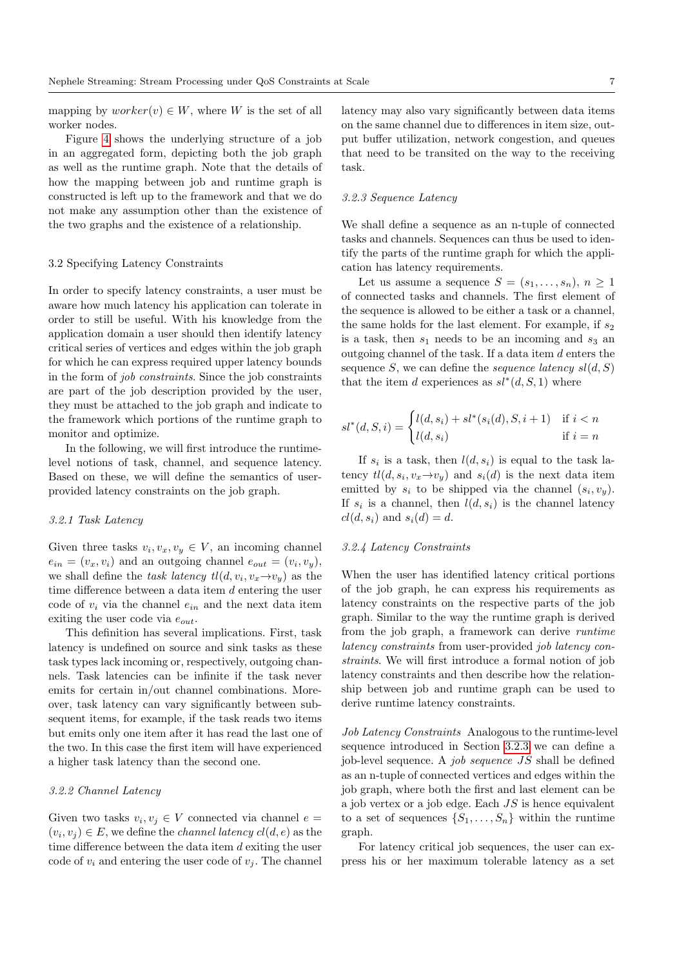mapping by  $worker(v) \in W$ , where W is the set of all worker nodes.

Figure [4](#page-5-1) shows the underlying structure of a job in an aggregated form, depicting both the job graph as well as the runtime graph. Note that the details of how the mapping between job and runtime graph is constructed is left up to the framework and that we do not make any assumption other than the existence of the two graphs and the existence of a relationship.

## 3.2 Specifying Latency Constraints

In order to specify latency constraints, a user must be aware how much latency his application can tolerate in order to still be useful. With his knowledge from the application domain a user should then identify latency critical series of vertices and edges within the job graph for which he can express required upper latency bounds in the form of job constraints. Since the job constraints are part of the job description provided by the user, they must be attached to the job graph and indicate to the framework which portions of the runtime graph to monitor and optimize.

In the following, we will first introduce the runtimelevel notions of task, channel, and sequence latency. Based on these, we will define the semantics of userprovided latency constraints on the job graph.

# <span id="page-6-1"></span>3.2.1 Task Latency

Given three tasks  $v_i, v_x, v_y \in V$ , an incoming channel  $e_{in} = (v_x, v_i)$  and an outgoing channel  $e_{out} = (v_i, v_y)$ , we shall define the *task latency*  $tl(d, v_i, v_x \rightarrow v_y)$  as the time difference between a data item  $d$  entering the user code of  $v_i$  via the channel  $e_{in}$  and the next data item exiting the user code via  $e_{out}$ .

This definition has several implications. First, task latency is undefined on source and sink tasks as these task types lack incoming or, respectively, outgoing channels. Task latencies can be infinite if the task never emits for certain in/out channel combinations. Moreover, task latency can vary significantly between subsequent items, for example, if the task reads two items but emits only one item after it has read the last one of the two. In this case the first item will have experienced a higher task latency than the second one.

#### 3.2.2 Channel Latency

Given two tasks  $v_i, v_j \in V$  connected via channel  $e =$  $(v_i, v_j) \in E$ , we define the *channel latency*  $cl(d, e)$  as the time difference between the data item  $d$  exiting the user code of  $v_i$  and entering the user code of  $v_i$ . The channel latency may also vary significantly between data items on the same channel due to differences in item size, output buffer utilization, network congestion, and queues that need to be transited on the way to the receiving task.

#### <span id="page-6-0"></span>3.2.3 Sequence Latency

We shall define a sequence as an n-tuple of connected tasks and channels. Sequences can thus be used to identify the parts of the runtime graph for which the application has latency requirements.

Let us assume a sequence  $S = (s_1, \ldots, s_n), n \geq 1$ of connected tasks and channels. The first element of the sequence is allowed to be either a task or a channel, the same holds for the last element. For example, if  $s_2$ is a task, then  $s_1$  needs to be an incoming and  $s_3$  an outgoing channel of the task. If a data item d enters the sequence S, we can define the *sequence latency*  $sl(d, S)$ that the item d experiences as  $sl^*(d, S, 1)$  where

$$
sl^*(d, S, i) = \begin{cases} l(d, s_i) + sl^*(s_i(d), S, i+1) & \text{if } i < n \\ l(d, s_i) & \text{if } i = n \end{cases}
$$

If  $s_i$  is a task, then  $l(d, s_i)$  is equal to the task latency  $tl(d, s_i, v_x \rightarrow v_y)$  and  $s_i(d)$  is the next data item emitted by  $s_i$  to be shipped via the channel  $(s_i, v_y)$ . If  $s_i$  is a channel, then  $l(d, s_i)$  is the channel latency  $cl(d, s_i)$  and  $s_i(d) = d$ .

# 3.2.4 Latency Constraints

When the user has identified latency critical portions of the job graph, he can express his requirements as latency constraints on the respective parts of the job graph. Similar to the way the runtime graph is derived from the job graph, a framework can derive runtime latency constraints from user-provided job latency constraints. We will first introduce a formal notion of job latency constraints and then describe how the relationship between job and runtime graph can be used to derive runtime latency constraints.

Job Latency Constraints Analogous to the runtime-level sequence introduced in Section [3.2.3](#page-6-0) we can define a job-level sequence. A job sequence JS shall be defined as an n-tuple of connected vertices and edges within the job graph, where both the first and last element can be a job vertex or a job edge. Each  $JS$  is hence equivalent to a set of sequences  $\{S_1, \ldots, S_n\}$  within the runtime graph.

For latency critical job sequences, the user can express his or her maximum tolerable latency as a set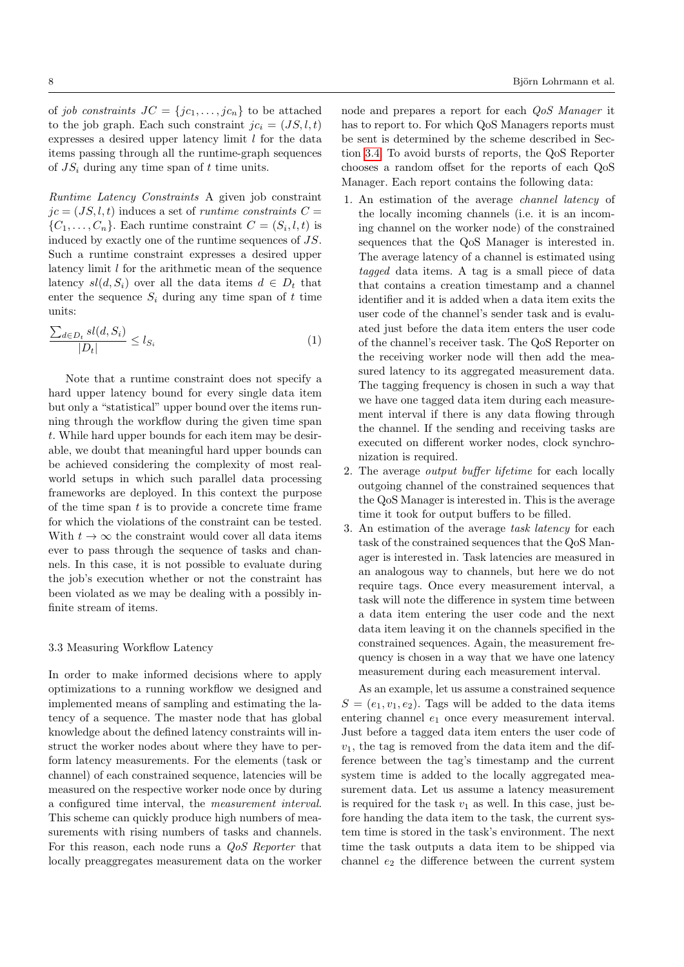of job constraints  $JC = \{jc_1, \ldots, jc_n\}$  to be attached to the job graph. Each such constraint  $jc_i = (JS, l, t)$ expresses a desired upper latency limit  $l$  for the data items passing through all the runtime-graph sequences of  $JS_i$  during any time span of t time units.

Runtime Latency Constraints A given job constraint  $jc = (JS, l, t)$  induces a set of runtime constraints  $C =$  $\{C_1, \ldots, C_n\}$ . Each runtime constraint  $C = (S_i, l, t)$  is induced by exactly one of the runtime sequences of JS. Such a runtime constraint expresses a desired upper latency limit  $l$  for the arithmetic mean of the sequence latency  $sl(d, S_i)$  over all the data items  $d \in D_t$  that enter the sequence  $S_i$  during any time span of t time units:

<span id="page-7-0"></span>
$$
\frac{\sum_{d \in D_t} sl(d, S_i)}{|D_t|} \le l_{S_i}
$$
\n(1)

Note that a runtime constraint does not specify a hard upper latency bound for every single data item but only a "statistical" upper bound over the items running through the workflow during the given time span t. While hard upper bounds for each item may be desirable, we doubt that meaningful hard upper bounds can be achieved considering the complexity of most realworld setups in which such parallel data processing frameworks are deployed. In this context the purpose of the time span  $t$  is to provide a concrete time frame for which the violations of the constraint can be tested. With  $t \to \infty$  the constraint would cover all data items ever to pass through the sequence of tasks and channels. In this case, it is not possible to evaluate during the job's execution whether or not the constraint has been violated as we may be dealing with a possibly infinite stream of items.

#### <span id="page-7-1"></span>3.3 Measuring Workflow Latency

In order to make informed decisions where to apply optimizations to a running workflow we designed and implemented means of sampling and estimating the latency of a sequence. The master node that has global knowledge about the defined latency constraints will instruct the worker nodes about where they have to perform latency measurements. For the elements (task or channel) of each constrained sequence, latencies will be measured on the respective worker node once by during a configured time interval, the measurement interval. This scheme can quickly produce high numbers of measurements with rising numbers of tasks and channels. For this reason, each node runs a QoS Reporter that locally preaggregates measurement data on the worker

node and prepares a report for each QoS Manager it has to report to. For which QoS Managers reports must be sent is determined by the scheme described in Section [3.4.](#page-8-0) To avoid bursts of reports, the QoS Reporter chooses a random offset for the reports of each QoS Manager. Each report contains the following data:

- 1. An estimation of the average channel latency of the locally incoming channels (i.e. it is an incoming channel on the worker node) of the constrained sequences that the QoS Manager is interested in. The average latency of a channel is estimated using tagged data items. A tag is a small piece of data that contains a creation timestamp and a channel identifier and it is added when a data item exits the user code of the channel's sender task and is evaluated just before the data item enters the user code of the channel's receiver task. The QoS Reporter on the receiving worker node will then add the measured latency to its aggregated measurement data. The tagging frequency is chosen in such a way that we have one tagged data item during each measurement interval if there is any data flowing through the channel. If the sending and receiving tasks are executed on different worker nodes, clock synchronization is required.
- 2. The average output buffer lifetime for each locally outgoing channel of the constrained sequences that the QoS Manager is interested in. This is the average time it took for output buffers to be filled.
- 3. An estimation of the average task latency for each task of the constrained sequences that the QoS Manager is interested in. Task latencies are measured in an analogous way to channels, but here we do not require tags. Once every measurement interval, a task will note the difference in system time between a data item entering the user code and the next data item leaving it on the channels specified in the constrained sequences. Again, the measurement frequency is chosen in a way that we have one latency measurement during each measurement interval.

As an example, let us assume a constrained sequence  $S = (e_1, v_1, e_2)$ . Tags will be added to the data items entering channel  $e_1$  once every measurement interval. Just before a tagged data item enters the user code of  $v_1$ , the tag is removed from the data item and the difference between the tag's timestamp and the current system time is added to the locally aggregated measurement data. Let us assume a latency measurement is required for the task  $v_1$  as well. In this case, just before handing the data item to the task, the current system time is stored in the task's environment. The next time the task outputs a data item to be shipped via channel  $e_2$  the difference between the current system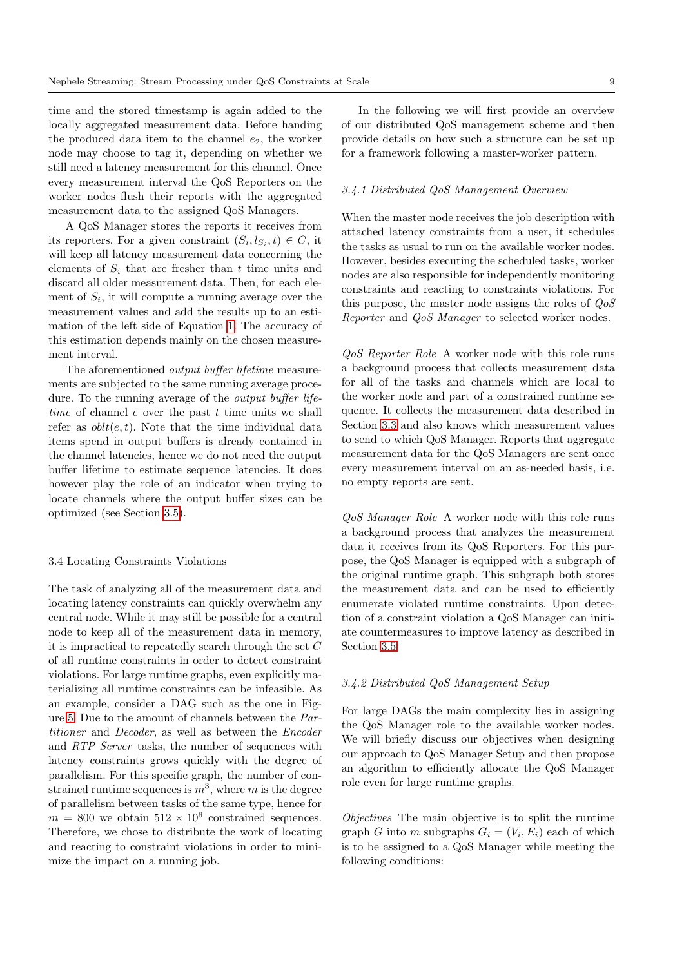time and the stored timestamp is again added to the locally aggregated measurement data. Before handing the produced data item to the channel  $e_2$ , the worker node may choose to tag it, depending on whether we still need a latency measurement for this channel. Once every measurement interval the QoS Reporters on the worker nodes flush their reports with the aggregated measurement data to the assigned QoS Managers.

A QoS Manager stores the reports it receives from its reporters. For a given constraint  $(S_i, l_{S_i}, t) \in C$ , it will keep all latency measurement data concerning the elements of  $S_i$  that are fresher than t time units and discard all older measurement data. Then, for each element of  $S_i$ , it will compute a running average over the measurement values and add the results up to an estimation of the left side of Equation [1.](#page-7-0) The accuracy of this estimation depends mainly on the chosen measurement interval.

The aforementioned *output buffer lifetime* measurements are subjected to the same running average procedure. To the running average of the *output buffer life*time of channel  $e$  over the past  $t$  time units we shall refer as  $oblt(e, t)$ . Note that the time individual data items spend in output buffers is already contained in the channel latencies, hence we do not need the output buffer lifetime to estimate sequence latencies. It does however play the role of an indicator when trying to locate channels where the output buffer sizes can be optimized (see Section [3.5\)](#page-10-0).

# <span id="page-8-0"></span>3.4 Locating Constraints Violations

The task of analyzing all of the measurement data and locating latency constraints can quickly overwhelm any central node. While it may still be possible for a central node to keep all of the measurement data in memory, it is impractical to repeatedly search through the set C of all runtime constraints in order to detect constraint violations. For large runtime graphs, even explicitly materializing all runtime constraints can be infeasible. As an example, consider a DAG such as the one in Figure [5.](#page-12-0) Due to the amount of channels between the Partitioner and Decoder, as well as between the Encoder and RTP Server tasks, the number of sequences with latency constraints grows quickly with the degree of parallelism. For this specific graph, the number of constrained runtime sequences is  $m^3$ , where m is the degree of parallelism between tasks of the same type, hence for  $m = 800$  we obtain  $512 \times 10^6$  constrained sequences. Therefore, we chose to distribute the work of locating and reacting to constraint violations in order to minimize the impact on a running job.

In the following we will first provide an overview of our distributed QoS management scheme and then provide details on how such a structure can be set up for a framework following a master-worker pattern.

#### 3.4.1 Distributed QoS Management Overview

When the master node receives the job description with attached latency constraints from a user, it schedules the tasks as usual to run on the available worker nodes. However, besides executing the scheduled tasks, worker nodes are also responsible for independently monitoring constraints and reacting to constraints violations. For this purpose, the master node assigns the roles of  $QoS$ Reporter and QoS Manager to selected worker nodes.

QoS Reporter Role A worker node with this role runs a background process that collects measurement data for all of the tasks and channels which are local to the worker node and part of a constrained runtime sequence. It collects the measurement data described in Section [3.3](#page-7-1) and also knows which measurement values to send to which QoS Manager. Reports that aggregate measurement data for the QoS Managers are sent once every measurement interval on an as-needed basis, i.e. no empty reports are sent.

QoS Manager Role A worker node with this role runs a background process that analyzes the measurement data it receives from its QoS Reporters. For this purpose, the QoS Manager is equipped with a subgraph of the original runtime graph. This subgraph both stores the measurement data and can be used to efficiently enumerate violated runtime constraints. Upon detection of a constraint violation a QoS Manager can initiate countermeasures to improve latency as described in Section [3.5.](#page-10-0)

#### 3.4.2 Distributed QoS Management Setup

For large DAGs the main complexity lies in assigning the QoS Manager role to the available worker nodes. We will briefly discuss our objectives when designing our approach to QoS Manager Setup and then propose an algorithm to efficiently allocate the QoS Manager role even for large runtime graphs.

Objectives The main objective is to split the runtime graph G into m subgraphs  $G_i = (V_i, E_i)$  each of which is to be assigned to a QoS Manager while meeting the following conditions: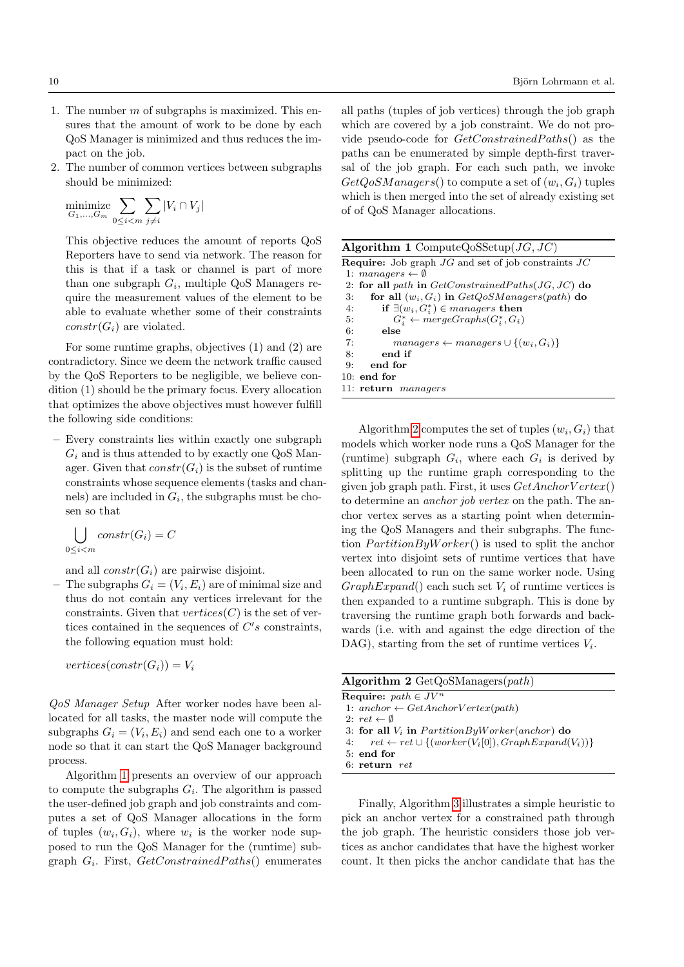- 1. The number  $m$  of subgraphs is maximized. This ensures that the amount of work to be done by each QoS Manager is minimized and thus reduces the impact on the job.
- 2. The number of common vertices between subgraphs should be minimized:

$$
\underset{G_1,\ldots,G_m}{\text{minimize}} \sum_{0 \le i < m} \sum_{j \ne i} |V_i \cap V_j|
$$

This objective reduces the amount of reports QoS Reporters have to send via network. The reason for this is that if a task or channel is part of more than one subgraph  $G_i$ , multiple QoS Managers require the measurement values of the element to be able to evaluate whether some of their constraints  $constr(G_i)$  are violated.

For some runtime graphs, objectives (1) and (2) are contradictory. Since we deem the network traffic caused by the QoS Reporters to be negligible, we believe condition (1) should be the primary focus. Every allocation that optimizes the above objectives must however fulfill the following side conditions:

– Every constraints lies within exactly one subgraph  $G_i$  and is thus attended to by exactly one QoS Manager. Given that  $constr(G_i)$  is the subset of runtime constraints whose sequence elements (tasks and channels) are included in  $G_i$ , the subgraphs must be chosen so that

$$
\bigcup_{0 \le i < m} constr(G_i) = C
$$

and all  $constr(G_i)$  are pairwise disjoint.

- The subgraphs  $G_i = (V_i, E_i)$  are of minimal size and thus do not contain any vertices irrelevant for the constraints. Given that  $vertices(C)$  is the set of vertices contained in the sequences of  $C's$  constraints, the following equation must hold:

 $vertices(constr(G_i)) = V_i$ 

QoS Manager Setup After worker nodes have been allocated for all tasks, the master node will compute the subgraphs  $G_i = (V_i, E_i)$  and send each one to a worker node so that it can start the QoS Manager background process.

Algorithm [1](#page-9-0) presents an overview of our approach to compute the subgraphs  $G_i$ . The algorithm is passed the user-defined job graph and job constraints and computes a set of QoS Manager allocations in the form of tuples  $(w_i, G_i)$ , where  $w_i$  is the worker node supposed to run the QoS Manager for the (runtime) subgraph  $G_i$ . First,  $GetConstrainedPaths()$  enumerates

all paths (tuples of job vertices) through the job graph which are covered by a job constraint. We do not provide pseudo-code for  $GetConstrained Paths()$  as the paths can be enumerated by simple depth-first traversal of the job graph. For each such path, we invoke  $GetQoSManagers()$  to compute a set of  $(w_i, G_i)$  tuples which is then merged into the set of already existing set of of QoS Manager allocations.

<span id="page-9-0"></span>

| Algorithm 1 Compute QoSSetup( $JG, JC$ )                       |
|----------------------------------------------------------------|
| <b>Require:</b> Job graph $JG$ and set of job constraints $JC$ |
| 1: managers $\leftarrow \emptyset$                             |
| 2: for all path in $GetConstrainedPaths(JG, JC)$ do            |
| for all $(w_i, G_i)$ in $GetQoSManagers(path)$ do<br>3:        |
| if $\exists (w_i, G_i^*) \in managers$ then<br>4:              |
| $G_i^* \leftarrow mergeGraphs(G_i^*, G_i)$<br>5:               |
| 6:<br>else                                                     |
| 7:<br>$managers \leftarrow management \cup \{(w_i, G_i)\}\$    |
| end if<br>8:                                                   |
| end for<br>9:                                                  |
| $10:$ end for                                                  |
| 11: return <i>managers</i>                                     |
|                                                                |

Algorithm [2](#page-9-1) computes the set of tuples  $(w_i, G_i)$  that models which worker node runs a QoS Manager for the (runtime) subgraph  $G_i$ , where each  $G_i$  is derived by splitting up the runtime graph corresponding to the given job graph path. First, it uses  $GetAnchorVertex()$ to determine an anchor job vertex on the path. The anchor vertex serves as a starting point when determining the QoS Managers and their subgraphs. The function  $PartitionByWorker()$  is used to split the anchor vertex into disjoint sets of runtime vertices that have been allocated to run on the same worker node. Using  $GraphExpand()$  each such set  $V_i$  of runtime vertices is then expanded to a runtime subgraph. This is done by traversing the runtime graph both forwards and backwards (i.e. with and against the edge direction of the DAG), starting from the set of runtime vertices  $V_i$ .

<span id="page-9-1"></span>

| Algorithm $2 \text{ GetQoSManagers}(path)$                          |
|---------------------------------------------------------------------|
| <b>Require:</b> $path \in JV^n$                                     |
| 1: anchor $\leftarrow GetAnotherVertex(path)$                       |
| 2: $ret \leftarrow \emptyset$                                       |
| 3: for all $V_i$ in $PartitionByWorker(anchor)$ do                  |
| 4: $ret \leftarrow ret \cup \{(worker(V_i[0]), GraphExpand(V_i))\}$ |
| $5:$ end for                                                        |
| $6:$ return ret                                                     |

Finally, Algorithm [3](#page-10-1) illustrates a simple heuristic to pick an anchor vertex for a constrained path through the job graph. The heuristic considers those job vertices as anchor candidates that have the highest worker count. It then picks the anchor candidate that has the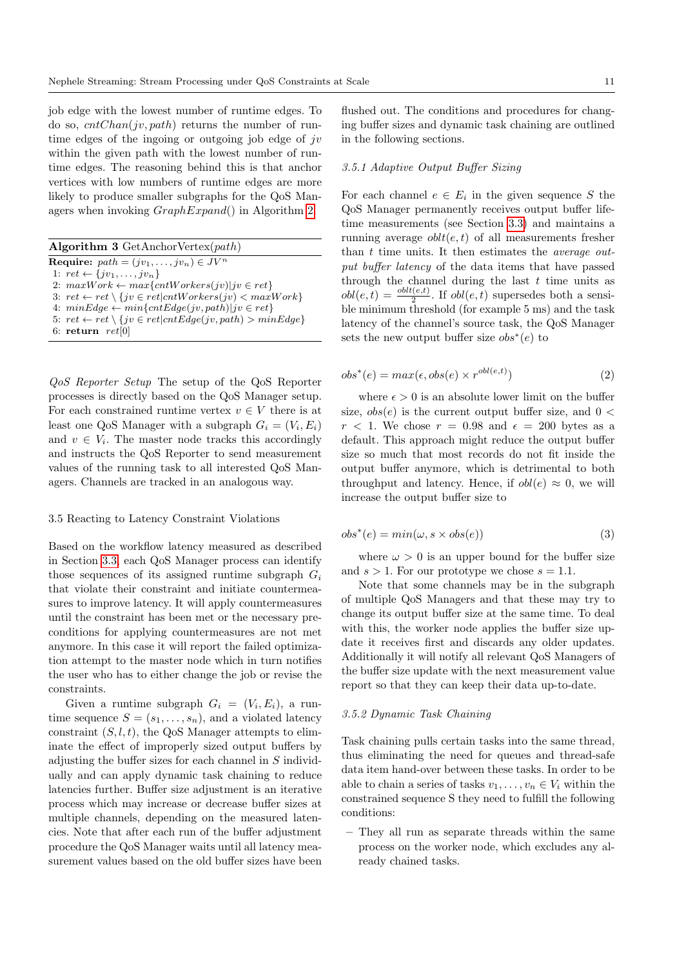job edge with the lowest number of runtime edges. To do so,  $cntChan(jv, path)$  returns the number of runtime edges of the ingoing or outgoing job edge of  $j\upsilon$ within the given path with the lowest number of runtime edges. The reasoning behind this is that anchor vertices with low numbers of runtime edges are more likely to produce smaller subgraphs for the QoS Managers when invoking GraphExpand() in Algorithm [2.](#page-9-1)

<span id="page-10-1"></span>

| Algorithm 3 GetAnchorVertex $(path)$                                           |
|--------------------------------------------------------------------------------|
| <b>Require:</b> $path = (iv_1, \ldots, iv_n) \in JV^n$                         |
| 1: $ret \leftarrow \{iv_1, \ldots, iv_n\}$                                     |
| 2: $maxWork \leftarrow max\{cntWorks(iv) iv \in ret\}$                         |
| 3: $ret \leftarrow ret \setminus \{jv \in ret   cntWorks(jv) < maxWork\}$      |
| 4: $minEdge \leftarrow min\{cntEdge(iv, path)   iv \in ret\}$                  |
| 5: $ret \leftarrow ret \setminus \{jv \in ret   cntEdge(jv, path) > minEdge\}$ |
| 6: return $ret[0]$                                                             |
|                                                                                |

QoS Reporter Setup The setup of the QoS Reporter processes is directly based on the QoS Manager setup. For each constrained runtime vertex  $v \in V$  there is at least one QoS Manager with a subgraph  $G_i = (V_i, E_i)$ and  $v \in V_i$ . The master node tracks this accordingly and instructs the QoS Reporter to send measurement values of the running task to all interested QoS Managers. Channels are tracked in an analogous way.

#### <span id="page-10-0"></span>3.5 Reacting to Latency Constraint Violations

Based on the workflow latency measured as described in Section [3.3,](#page-7-1) each QoS Manager process can identify those sequences of its assigned runtime subgraph  $G_i$ that violate their constraint and initiate countermeasures to improve latency. It will apply countermeasures until the constraint has been met or the necessary preconditions for applying countermeasures are not met anymore. In this case it will report the failed optimization attempt to the master node which in turn notifies the user who has to either change the job or revise the constraints.

Given a runtime subgraph  $G_i = (V_i, E_i)$ , a runtime sequence  $S = (s_1, \ldots, s_n)$ , and a violated latency constraint  $(S, l, t)$ , the QoS Manager attempts to eliminate the effect of improperly sized output buffers by adjusting the buffer sizes for each channel in S individually and can apply dynamic task chaining to reduce latencies further. Buffer size adjustment is an iterative process which may increase or decrease buffer sizes at multiple channels, depending on the measured latencies. Note that after each run of the buffer adjustment procedure the QoS Manager waits until all latency measurement values based on the old buffer sizes have been

flushed out. The conditions and procedures for changing buffer sizes and dynamic task chaining are outlined in the following sections.

### 3.5.1 Adaptive Output Buffer Sizing

For each channel  $e \in E_i$  in the given sequence S the QoS Manager permanently receives output buffer lifetime measurements (see Section [3.3\)](#page-7-1) and maintains a running average  $oblt(e, t)$  of all measurements fresher than  $t$  time units. It then estimates the *average out*put buffer latency of the data items that have passed through the channel during the last  $t$  time units as  $obl(e, t) = \frac{oblt(e, t)}{2}$ . If  $obl(e, t)$  supersedes both a sensible minimum threshold (for example 5 ms) and the task latency of the channel's source task, the QoS Manager sets the new output buffer size  $obs^*(e)$  to

$$
obs^*(e) = max(\epsilon, obs(e) \times r^{obl(e,t)})
$$
\n(2)

where  $\epsilon > 0$  is an absolute lower limit on the buffer size,  $obs(e)$  is the current output buffer size, and  $0 <$  $r < 1$ . We chose  $r = 0.98$  and  $\epsilon = 200$  bytes as a default. This approach might reduce the output buffer size so much that most records do not fit inside the output buffer anymore, which is detrimental to both throughput and latency. Hence, if  $obl(e) \approx 0$ , we will increase the output buffer size to

$$
obs^*(e) = min(\omega, s \times obs(e))
$$
\n(3)

where  $\omega > 0$  is an upper bound for the buffer size and  $s > 1$ . For our prototype we chose  $s = 1.1$ .

Note that some channels may be in the subgraph of multiple QoS Managers and that these may try to change its output buffer size at the same time. To deal with this, the worker node applies the buffer size update it receives first and discards any older updates. Additionally it will notify all relevant QoS Managers of the buffer size update with the next measurement value report so that they can keep their data up-to-date.

#### 3.5.2 Dynamic Task Chaining

Task chaining pulls certain tasks into the same thread, thus eliminating the need for queues and thread-safe data item hand-over between these tasks. In order to be able to chain a series of tasks  $v_1, \ldots, v_n \in V_i$  within the constrained sequence S they need to fulfill the following conditions:

– They all run as separate threads within the same process on the worker node, which excludes any already chained tasks.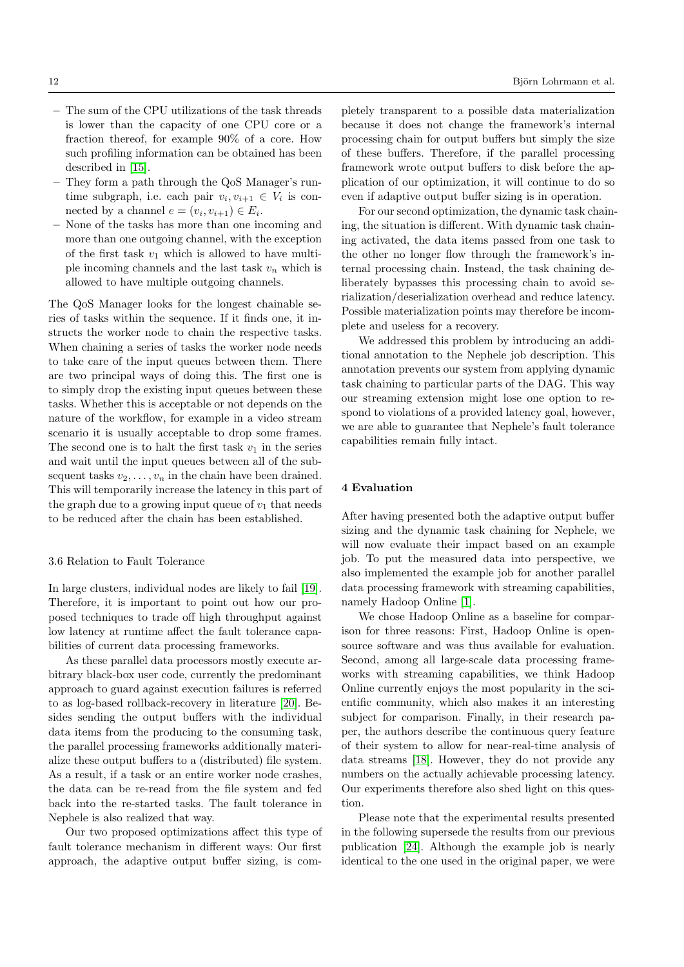- The sum of the CPU utilizations of the task threads is lower than the capacity of one CPU core or a fraction thereof, for example 90% of a core. How such profiling information can be obtained has been described in [\[15\]](#page-17-11).
- They form a path through the QoS Manager's runtime subgraph, i.e. each pair  $v_i, v_{i+1} \in V_i$  is connected by a channel  $e = (v_i, v_{i+1}) \in E_i$ .
- None of the tasks has more than one incoming and more than one outgoing channel, with the exception of the first task  $v_1$  which is allowed to have multiple incoming channels and the last task  $v_n$  which is allowed to have multiple outgoing channels.

The QoS Manager looks for the longest chainable series of tasks within the sequence. If it finds one, it instructs the worker node to chain the respective tasks. When chaining a series of tasks the worker node needs to take care of the input queues between them. There are two principal ways of doing this. The first one is to simply drop the existing input queues between these tasks. Whether this is acceptable or not depends on the nature of the workflow, for example in a video stream scenario it is usually acceptable to drop some frames. The second one is to halt the first task  $v_1$  in the series and wait until the input queues between all of the subsequent tasks  $v_2, \ldots, v_n$  in the chain have been drained. This will temporarily increase the latency in this part of the graph due to a growing input queue of  $v_1$  that needs to be reduced after the chain has been established.

# 3.6 Relation to Fault Tolerance

In large clusters, individual nodes are likely to fail [\[19\]](#page-18-1). Therefore, it is important to point out how our proposed techniques to trade off high throughput against low latency at runtime affect the fault tolerance capabilities of current data processing frameworks.

As these parallel data processors mostly execute arbitrary black-box user code, currently the predominant approach to guard against execution failures is referred to as log-based rollback-recovery in literature [\[20\]](#page-18-6). Besides sending the output buffers with the individual data items from the producing to the consuming task, the parallel processing frameworks additionally materialize these output buffers to a (distributed) file system. As a result, if a task or an entire worker node crashes, the data can be re-read from the file system and fed back into the re-started tasks. The fault tolerance in Nephele is also realized that way.

Our two proposed optimizations affect this type of fault tolerance mechanism in different ways: Our first approach, the adaptive output buffer sizing, is completely transparent to a possible data materialization because it does not change the framework's internal processing chain for output buffers but simply the size of these buffers. Therefore, if the parallel processing framework wrote output buffers to disk before the application of our optimization, it will continue to do so even if adaptive output buffer sizing is in operation.

For our second optimization, the dynamic task chaining, the situation is different. With dynamic task chaining activated, the data items passed from one task to the other no longer flow through the framework's internal processing chain. Instead, the task chaining deliberately bypasses this processing chain to avoid serialization/deserialization overhead and reduce latency. Possible materialization points may therefore be incomplete and useless for a recovery.

We addressed this problem by introducing an additional annotation to the Nephele job description. This annotation prevents our system from applying dynamic task chaining to particular parts of the DAG. This way our streaming extension might lose one option to respond to violations of a provided latency goal, however, we are able to guarantee that Nephele's fault tolerance capabilities remain fully intact.

# <span id="page-11-0"></span>4 Evaluation

After having presented both the adaptive output buffer sizing and the dynamic task chaining for Nephele, we will now evaluate their impact based on an example job. To put the measured data into perspective, we also implemented the example job for another parallel data processing framework with streaming capabilities, namely Hadoop Online [\[1\]](#page-17-12).

We chose Hadoop Online as a baseline for comparison for three reasons: First, Hadoop Online is opensource software and was thus available for evaluation. Second, among all large-scale data processing frameworks with streaming capabilities, we think Hadoop Online currently enjoys the most popularity in the scientific community, which also makes it an interesting subject for comparison. Finally, in their research paper, the authors describe the continuous query feature of their system to allow for near-real-time analysis of data streams [\[18\]](#page-17-6). However, they do not provide any numbers on the actually achievable processing latency. Our experiments therefore also shed light on this question.

Please note that the experimental results presented in the following supersede the results from our previous publication [\[24\]](#page-18-5). Although the example job is nearly identical to the one used in the original paper, we were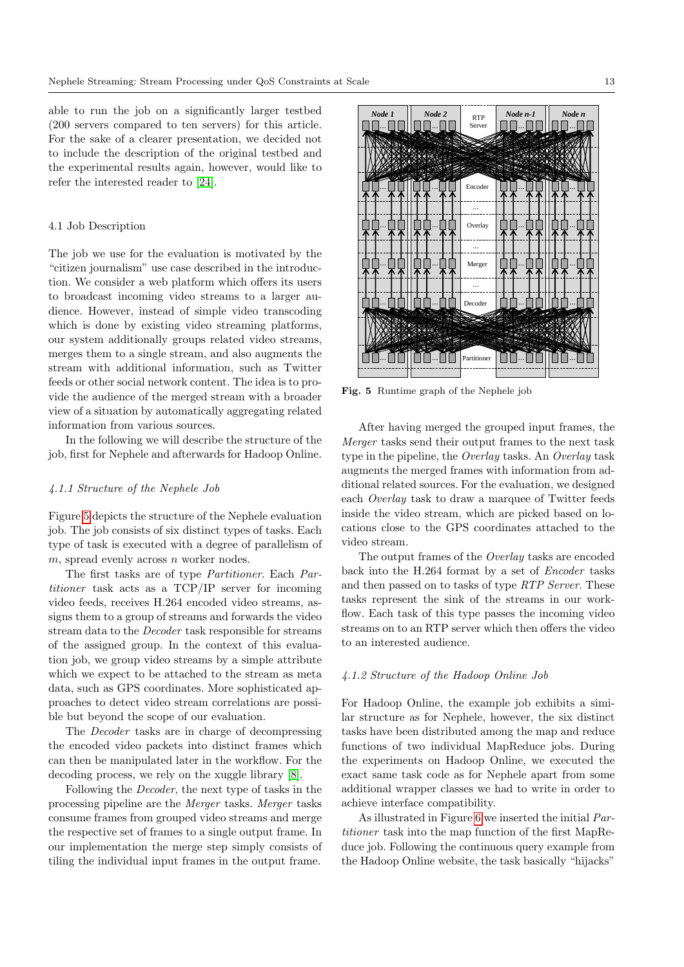able to run the job on a significantly larger testbed (200 servers compared to ten servers) for this article. For the sake of a clearer presentation, we decided not to include the description of the original testbed and the experimental results again, however, would like to refer the interested reader to [\[24\]](#page-18-5).

# 4.1 Job Description

The job we use for the evaluation is motivated by the "citizen journalism" use case described in the introduction. We consider a web platform which offers its users to broadcast incoming video streams to a larger audience. However, instead of simple video transcoding which is done by existing video streaming platforms, our system additionally groups related video streams, merges them to a single stream, and also augments the stream with additional information, such as Twitter feeds or other social network content. The idea is to provide the audience of the merged stream with a broader view of a situation by automatically aggregating related information from various sources.

In the following we will describe the structure of the job, first for Nephele and afterwards for Hadoop Online.

#### <span id="page-12-1"></span>4.1.1 Structure of the Nephele Job

Figure [5](#page-12-0) depicts the structure of the Nephele evaluation job. The job consists of six distinct types of tasks. Each type of task is executed with a degree of parallelism of  $m$ , spread evenly across  $n$  worker nodes.

The first tasks are of type *Partitioner*. Each *Par*titioner task acts as a TCP/IP server for incoming video feeds, receives H.264 encoded video streams, assigns them to a group of streams and forwards the video stream data to the Decoder task responsible for streams of the assigned group. In the context of this evaluation job, we group video streams by a simple attribute which we expect to be attached to the stream as meta data, such as GPS coordinates. More sophisticated approaches to detect video stream correlations are possible but beyond the scope of our evaluation.

The Decoder tasks are in charge of decompressing the encoded video packets into distinct frames which can then be manipulated later in the workflow. For the decoding process, we rely on the xuggle library [\[8\]](#page-17-13).

Following the Decoder, the next type of tasks in the processing pipeline are the Merger tasks. Merger tasks consume frames from grouped video streams and merge the respective set of frames to a single output frame. In our implementation the merge step simply consists of tiling the individual input frames in the output frame.



<span id="page-12-0"></span>Fig. 5 Runtime graph of the Nephele job

After having merged the grouped input frames, the Merger tasks send their output frames to the next task type in the pipeline, the *Overlay* tasks. An *Overlay* task augments the merged frames with information from additional related sources. For the evaluation, we designed each Overlay task to draw a marquee of Twitter feeds inside the video stream, which are picked based on locations close to the GPS coordinates attached to the video stream.

The output frames of the Overlay tasks are encoded back into the H.264 format by a set of Encoder tasks and then passed on to tasks of type RTP Server. These tasks represent the sink of the streams in our workflow. Each task of this type passes the incoming video streams on to an RTP server which then offers the video to an interested audience.

# <span id="page-12-2"></span>4.1.2 Structure of the Hadoop Online Job

For Hadoop Online, the example job exhibits a similar structure as for Nephele, however, the six distinct tasks have been distributed among the map and reduce functions of two individual MapReduce jobs. During the experiments on Hadoop Online, we executed the exact same task code as for Nephele apart from some additional wrapper classes we had to write in order to achieve interface compatibility.

As illustrated in Figure [6](#page-13-0) we inserted the initial Partitioner task into the map function of the first MapReduce job. Following the continuous query example from the Hadoop Online website, the task basically "hijacks"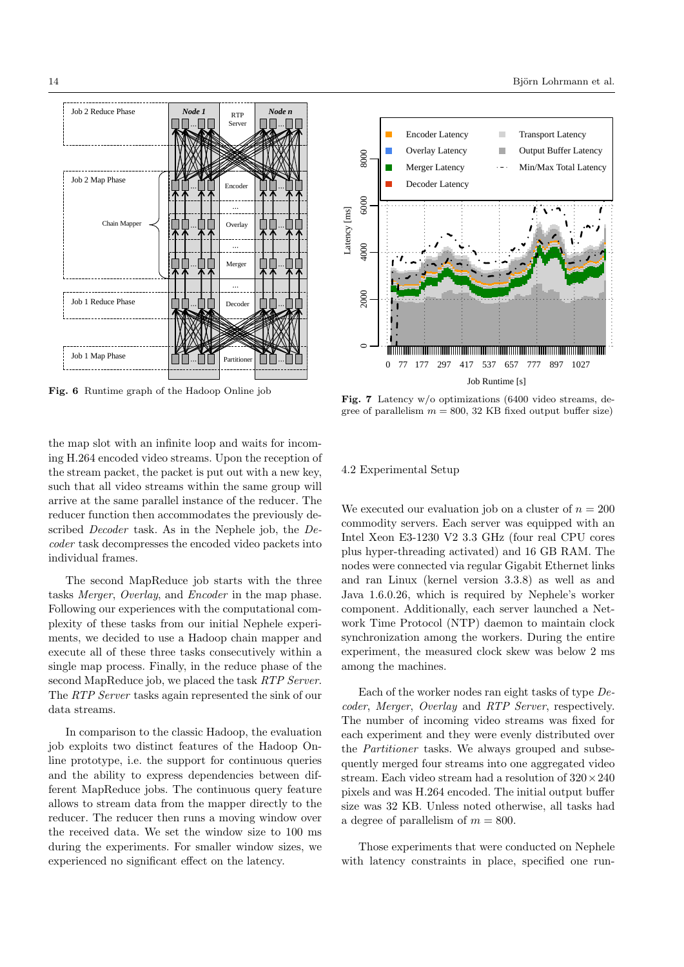Job 2 Reduce Phase

Job 2 Map Phase

Chain Mapper

Job 1 Reduce Phase

<span id="page-13-0"></span>Job 1 Map Phase

individual frames.

the map slot with an infinite loop and waits for incoming H.264 encoded video streams. Upon the reception of the stream packet, the packet is put out with a new key, such that all video streams within the same group will arrive at the same parallel instance of the reducer. The reducer function then accommodates the previously described Decoder task. As in the Nephele job, the Decoder task decompresses the encoded video packets into

Fig. 6 Runtime graph of the Hadoop Online job

*Node 1 Node n*

RTP Server

In

П - 8

Decoder

 $\mathbf{r}$ 

Partitioner

Merger

Overlay

Encoder

The second MapReduce job starts with the three tasks Merger, Overlay, and Encoder in the map phase. Following our experiences with the computational complexity of these tasks from our initial Nephele experiments, we decided to use a Hadoop chain mapper and execute all of these three tasks consecutively within a single map process. Finally, in the reduce phase of the second MapReduce job, we placed the task RTP Server. The RTP Server tasks again represented the sink of our data streams.

In comparison to the classic Hadoop, the evaluation job exploits two distinct features of the Hadoop Online prototype, i.e. the support for continuous queries and the ability to express dependencies between different MapReduce jobs. The continuous query feature allows to stream data from the mapper directly to the reducer. The reducer then runs a moving window over the received data. We set the window size to 100 ms during the experiments. For smaller window sizes, we experienced no significant effect on the latency.



<span id="page-13-1"></span>Fig. 7 Latency w/o optimizations (6400 video streams, degree of parallelism  $m = 800$ , 32 KB fixed output buffer size)

#### 4.2 Experimental Setup

We executed our evaluation job on a cluster of  $n = 200$ commodity servers. Each server was equipped with an Intel Xeon E3-1230 V2 3.3 GHz (four real CPU cores plus hyper-threading activated) and 16 GB RAM. The nodes were connected via regular Gigabit Ethernet links and ran Linux (kernel version 3.3.8) as well as and Java 1.6.0.26, which is required by Nephele's worker component. Additionally, each server launched a Network Time Protocol (NTP) daemon to maintain clock synchronization among the workers. During the entire experiment, the measured clock skew was below 2 ms among the machines.

Each of the worker nodes ran eight tasks of type Decoder, Merger, Overlay and RTP Server, respectively. The number of incoming video streams was fixed for each experiment and they were evenly distributed over the Partitioner tasks. We always grouped and subsequently merged four streams into one aggregated video stream. Each video stream had a resolution of  $320 \times 240$ pixels and was H.264 encoded. The initial output buffer size was 32 KB. Unless noted otherwise, all tasks had a degree of parallelism of  $m = 800$ .

Those experiments that were conducted on Nephele with latency constraints in place, specified one run-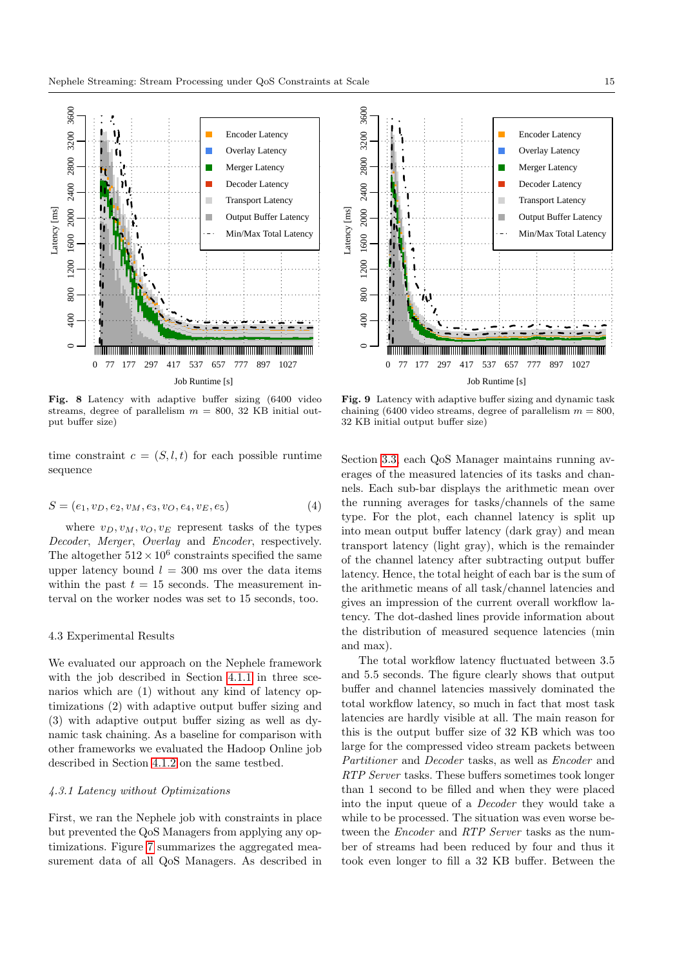

<span id="page-14-0"></span>Fig. 8 Latency with adaptive buffer sizing (6400 video streams, degree of parallelism  $m = 800$ , 32 KB initial output buffer size)

time constraint  $c = (S, l, t)$  for each possible runtime sequence

$$
S = (e_1, v_D, e_2, v_M, e_3, v_O, e_4, v_E, e_5)
$$
\n<sup>(4)</sup>

where  $v_D, v_M, v_O, v_E$  represent tasks of the types Decoder, Merger, Overlay and Encoder, respectively. The altogether  $512 \times 10^6$  constraints specified the same upper latency bound  $l = 300$  ms over the data items within the past  $t = 15$  seconds. The measurement interval on the worker nodes was set to 15 seconds, too.

## 4.3 Experimental Results

We evaluated our approach on the Nephele framework with the job described in Section [4.1.1](#page-12-1) in three scenarios which are (1) without any kind of latency optimizations (2) with adaptive output buffer sizing and (3) with adaptive output buffer sizing as well as dynamic task chaining. As a baseline for comparison with other frameworks we evaluated the Hadoop Online job described in Section [4.1.2](#page-12-2) on the same testbed.

# 4.3.1 Latency without Optimizations

First, we ran the Nephele job with constraints in place but prevented the QoS Managers from applying any optimizations. Figure [7](#page-13-1) summarizes the aggregated measurement data of all QoS Managers. As described in



<span id="page-14-1"></span>Fig. 9 Latency with adaptive buffer sizing and dynamic task chaining (6400 video streams, degree of parallelism  $m = 800$ , 32 KB initial output buffer size)

Section [3.3,](#page-7-1) each QoS Manager maintains running averages of the measured latencies of its tasks and channels. Each sub-bar displays the arithmetic mean over the running averages for tasks/channels of the same type. For the plot, each channel latency is split up into mean output buffer latency (dark gray) and mean transport latency (light gray), which is the remainder of the channel latency after subtracting output buffer latency. Hence, the total height of each bar is the sum of the arithmetic means of all task/channel latencies and gives an impression of the current overall workflow latency. The dot-dashed lines provide information about the distribution of measured sequence latencies (min and max).

The total workflow latency fluctuated between 3.5 and 5.5 seconds. The figure clearly shows that output buffer and channel latencies massively dominated the total workflow latency, so much in fact that most task latencies are hardly visible at all. The main reason for this is the output buffer size of 32 KB which was too large for the compressed video stream packets between Partitioner and Decoder tasks, as well as Encoder and RTP Server tasks. These buffers sometimes took longer than 1 second to be filled and when they were placed into the input queue of a Decoder they would take a while to be processed. The situation was even worse between the *Encoder* and *RTP Server* tasks as the number of streams had been reduced by four and thus it took even longer to fill a 32 KB buffer. Between the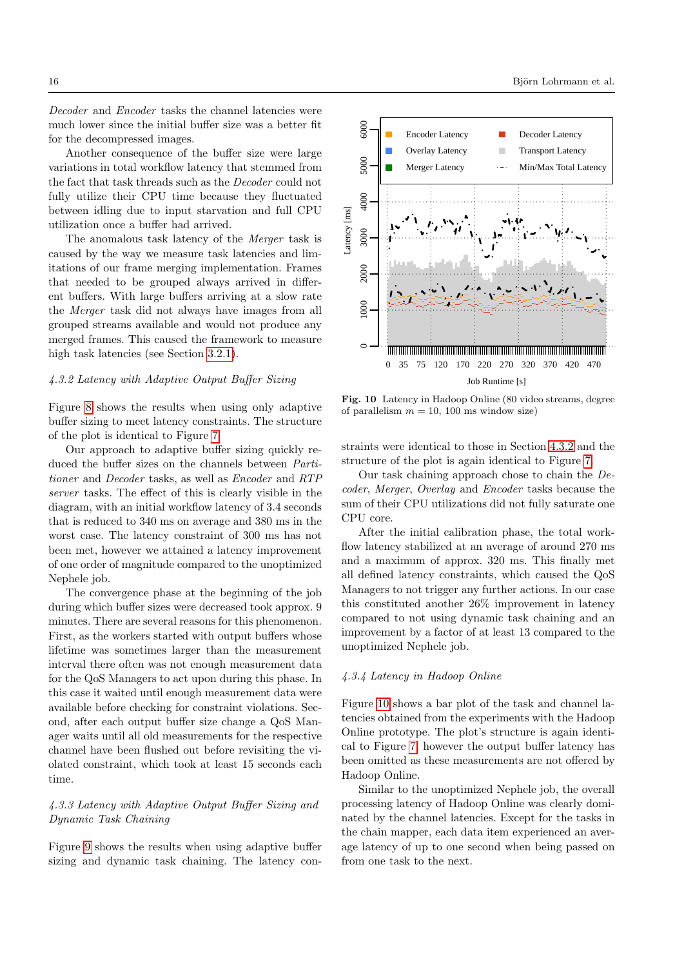Decoder and Encoder tasks the channel latencies were much lower since the initial buffer size was a better fit for the decompressed images.

Another consequence of the buffer size were large variations in total workflow latency that stemmed from the fact that task threads such as the Decoder could not fully utilize their CPU time because they fluctuated between idling due to input starvation and full CPU utilization once a buffer had arrived.

The anomalous task latency of the *Merger* task is caused by the way we measure task latencies and limitations of our frame merging implementation. Frames that needed to be grouped always arrived in different buffers. With large buffers arriving at a slow rate the Merger task did not always have images from all grouped streams available and would not produce any merged frames. This caused the framework to measure high task latencies (see Section [3.2.1\)](#page-6-1).

#### <span id="page-15-0"></span>4.3.2 Latency with Adaptive Output Buffer Sizing

Figure [8](#page-14-0) shows the results when using only adaptive buffer sizing to meet latency constraints. The structure of the plot is identical to Figure [7.](#page-13-1)

Our approach to adaptive buffer sizing quickly reduced the buffer sizes on the channels between Partitioner and Decoder tasks, as well as Encoder and RTP server tasks. The effect of this is clearly visible in the diagram, with an initial workflow latency of 3.4 seconds that is reduced to 340 ms on average and 380 ms in the worst case. The latency constraint of 300 ms has not been met, however we attained a latency improvement of one order of magnitude compared to the unoptimized Nephele job.

The convergence phase at the beginning of the job during which buffer sizes were decreased took approx. 9 minutes. There are several reasons for this phenomenon. First, as the workers started with output buffers whose lifetime was sometimes larger than the measurement interval there often was not enough measurement data for the QoS Managers to act upon during this phase. In this case it waited until enough measurement data were available before checking for constraint violations. Second, after each output buffer size change a QoS Manager waits until all old measurements for the respective channel have been flushed out before revisiting the violated constraint, which took at least 15 seconds each time.

# 4.3.3 Latency with Adaptive Output Buffer Sizing and Dynamic Task Chaining

Figure [9](#page-14-1) shows the results when using adaptive buffer sizing and dynamic task chaining. The latency con-



<span id="page-15-1"></span>Fig. 10 Latency in Hadoop Online (80 video streams, degree of parallelism  $m = 10, 100$  ms window size)

straints were identical to those in Section [4.3.2](#page-15-0) and the structure of the plot is again identical to Figure [7.](#page-13-1)

Our task chaining approach chose to chain the Decoder, Merger, Overlay and Encoder tasks because the sum of their CPU utilizations did not fully saturate one CPU core.

After the initial calibration phase, the total workflow latency stabilized at an average of around 270 ms and a maximum of approx. 320 ms. This finally met all defined latency constraints, which caused the QoS Managers to not trigger any further actions. In our case this constituted another 26% improvement in latency compared to not using dynamic task chaining and an improvement by a factor of at least 13 compared to the unoptimized Nephele job.

# 4.3.4 Latency in Hadoop Online

Figure [10](#page-15-1) shows a bar plot of the task and channel latencies obtained from the experiments with the Hadoop Online prototype. The plot's structure is again identical to Figure [7,](#page-13-1) however the output buffer latency has been omitted as these measurements are not offered by Hadoop Online.

Similar to the unoptimized Nephele job, the overall processing latency of Hadoop Online was clearly dominated by the channel latencies. Except for the tasks in the chain mapper, each data item experienced an average latency of up to one second when being passed on from one task to the next.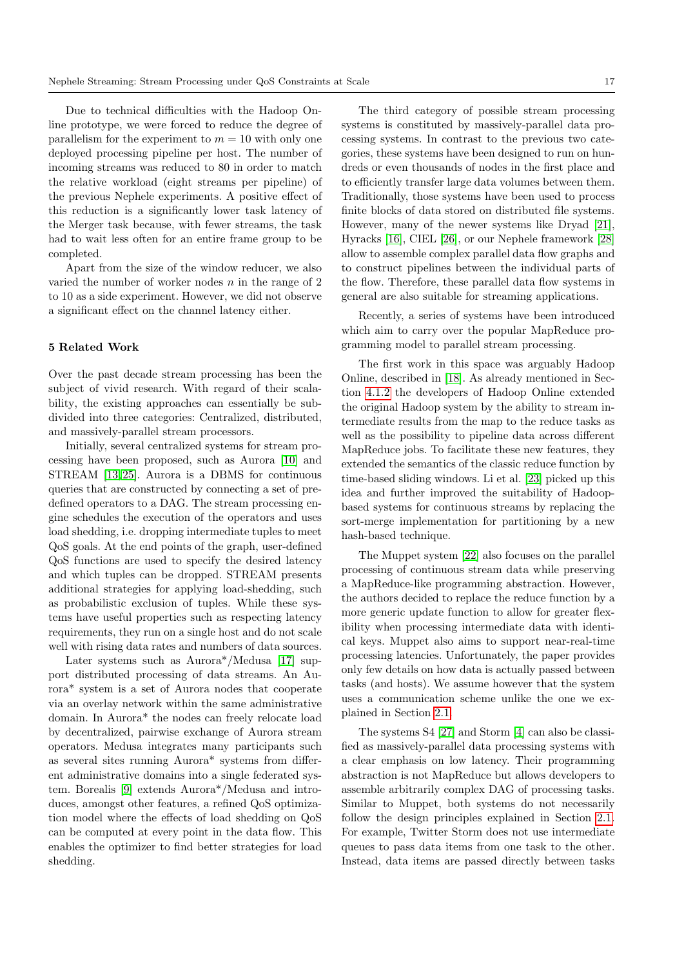Due to technical difficulties with the Hadoop Online prototype, we were forced to reduce the degree of parallelism for the experiment to  $m = 10$  with only one deployed processing pipeline per host. The number of incoming streams was reduced to 80 in order to match the relative workload (eight streams per pipeline) of the previous Nephele experiments. A positive effect of this reduction is a significantly lower task latency of the Merger task because, with fewer streams, the task had to wait less often for an entire frame group to be completed.

Apart from the size of the window reducer, we also varied the number of worker nodes  $n$  in the range of 2 to 10 as a side experiment. However, we did not observe a significant effect on the channel latency either.

## <span id="page-16-0"></span>5 Related Work

Over the past decade stream processing has been the subject of vivid research. With regard of their scalability, the existing approaches can essentially be subdivided into three categories: Centralized, distributed, and massively-parallel stream processors.

Initially, several centralized systems for stream processing have been proposed, such as Aurora [\[10\]](#page-17-4) and STREAM [\[13,](#page-17-14)25]. Aurora is a DBMS for continuous queries that are constructed by connecting a set of predefined operators to a DAG. The stream processing engine schedules the execution of the operators and uses load shedding, i.e. dropping intermediate tuples to meet QoS goals. At the end points of the graph, user-defined QoS functions are used to specify the desired latency and which tuples can be dropped. STREAM presents additional strategies for applying load-shedding, such as probabilistic exclusion of tuples. While these systems have useful properties such as respecting latency requirements, they run on a single host and do not scale well with rising data rates and numbers of data sources.

Later systems such as Aurora\*/Medusa [\[17\]](#page-17-15) support distributed processing of data streams. An Aurora\* system is a set of Aurora nodes that cooperate via an overlay network within the same administrative domain. In Aurora\* the nodes can freely relocate load by decentralized, pairwise exchange of Aurora stream operators. Medusa integrates many participants such as several sites running Aurora\* systems from different administrative domains into a single federated system. Borealis [\[9\]](#page-17-3) extends Aurora\*/Medusa and introduces, amongst other features, a refined QoS optimization model where the effects of load shedding on QoS can be computed at every point in the data flow. This enables the optimizer to find better strategies for load shedding.

The third category of possible stream processing systems is constituted by massively-parallel data processing systems. In contrast to the previous two categories, these systems have been designed to run on hundreds or even thousands of nodes in the first place and to efficiently transfer large data volumes between them. Traditionally, those systems have been used to process finite blocks of data stored on distributed file systems. However, many of the newer systems like Dryad [\[21\]](#page-18-2), Hyracks [\[16\]](#page-17-5), CIEL [\[26\]](#page-18-3), or our Nephele framework [\[28\]](#page-18-4) allow to assemble complex parallel data flow graphs and to construct pipelines between the individual parts of the flow. Therefore, these parallel data flow systems in general are also suitable for streaming applications.

Recently, a series of systems have been introduced which aim to carry over the popular MapReduce programming model to parallel stream processing.

The first work in this space was arguably Hadoop Online, described in [\[18\]](#page-17-6). As already mentioned in Section [4.1.2](#page-12-2) the developers of Hadoop Online extended the original Hadoop system by the ability to stream intermediate results from the map to the reduce tasks as well as the possibility to pipeline data across different MapReduce jobs. To facilitate these new features, they extended the semantics of the classic reduce function by time-based sliding windows. Li et al. [\[23\]](#page-18-8) picked up this idea and further improved the suitability of Hadoopbased systems for continuous streams by replacing the sort-merge implementation for partitioning by a new hash-based technique.

The Muppet system [\[22\]](#page-18-9) also focuses on the parallel processing of continuous stream data while preserving a MapReduce-like programming abstraction. However, the authors decided to replace the reduce function by a more generic update function to allow for greater flexibility when processing intermediate data with identical keys. Muppet also aims to support near-real-time processing latencies. Unfortunately, the paper provides only few details on how data is actually passed between tasks (and hosts). We assume however that the system uses a communication scheme unlike the one we explained in Section [2.1.](#page-2-1)

The systems S4 [\[27\]](#page-18-0) and Storm [\[4\]](#page-17-16) can also be classified as massively-parallel data processing systems with a clear emphasis on low latency. Their programming abstraction is not MapReduce but allows developers to assemble arbitrarily complex DAG of processing tasks. Similar to Muppet, both systems do not necessarily follow the design principles explained in Section [2.1.](#page-2-1) For example, Twitter Storm does not use intermediate queues to pass data items from one task to the other. Instead, data items are passed directly between tasks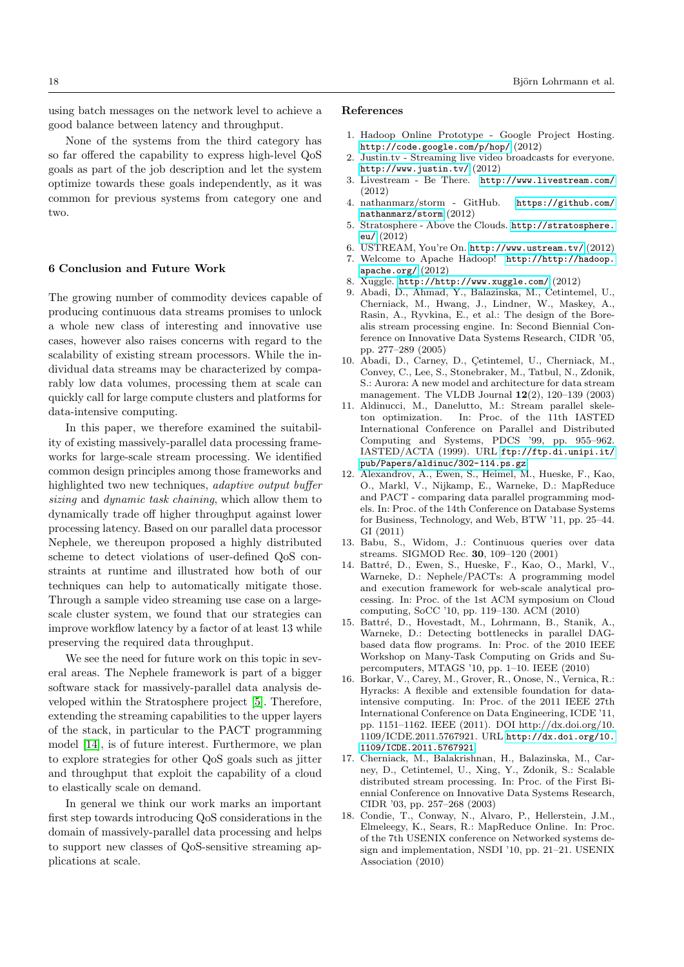using batch messages on the network level to achieve a good balance between latency and throughput.

None of the systems from the third category has so far offered the capability to express high-level QoS goals as part of the job description and let the system optimize towards these goals independently, as it was common for previous systems from category one and two.

# <span id="page-17-7"></span>6 Conclusion and Future Work

The growing number of commodity devices capable of producing continuous data streams promises to unlock a whole new class of interesting and innovative use cases, however also raises concerns with regard to the scalability of existing stream processors. While the individual data streams may be characterized by comparably low data volumes, processing them at scale can quickly call for large compute clusters and platforms for data-intensive computing.

In this paper, we therefore examined the suitability of existing massively-parallel data processing frameworks for large-scale stream processing. We identified common design principles among those frameworks and highlighted two new techniques, adaptive output buffer sizing and dynamic task chaining, which allow them to dynamically trade off higher throughput against lower processing latency. Based on our parallel data processor Nephele, we thereupon proposed a highly distributed scheme to detect violations of user-defined QoS constraints at runtime and illustrated how both of our techniques can help to automatically mitigate those. Through a sample video streaming use case on a largescale cluster system, we found that our strategies can improve workflow latency by a factor of at least 13 while preserving the required data throughput.

We see the need for future work on this topic in several areas. The Nephele framework is part of a bigger software stack for massively-parallel data analysis developed within the Stratosphere project [\[5\]](#page-17-17). Therefore, extending the streaming capabilities to the upper layers of the stack, in particular to the PACT programming model [\[14\]](#page-17-18), is of future interest. Furthermore, we plan to explore strategies for other QoS goals such as jitter and throughput that exploit the capability of a cloud to elastically scale on demand.

In general we think our work marks an important first step towards introducing QoS considerations in the domain of massively-parallel data processing and helps to support new classes of QoS-sensitive streaming applications at scale.

#### References

- <span id="page-17-12"></span>1. Hadoop Online Prototype - Google Project Hosting. <http://code.google.com/p/hop/> (2012)
- <span id="page-17-0"></span>2. Justin.tv - Streaming live video broadcasts for everyone. <http://www.justin.tv/> (2012)
- <span id="page-17-1"></span>3. Livestream - Be There. <http://www.livestream.com/> (2012)
- <span id="page-17-16"></span>4. nathanmarz/storm - GitHub. [https://github.com/](https://github.com/nathanmarz/storm) [nathanmarz/storm](https://github.com/nathanmarz/storm) (2012)
- <span id="page-17-17"></span>5. Stratosphere - Above the Clouds. [http://stratosphere.](http://stratosphere.eu/) [eu/](http://stratosphere.eu/) (2012)
- <span id="page-17-2"></span>6. USTREAM, You're On. <http://www.ustream.tv/> (2012)
- <span id="page-17-8"></span>7. Welcome to Apache Hadoop! [http://http://hadoop.](http://http://hadoop.apache.org/) [apache.org/](http://http://hadoop.apache.org/) $(2012)$
- <span id="page-17-13"></span>8. Xuggle. <http://http://www.xuggle.com/> (2012)
- <span id="page-17-3"></span>9. Abadi, D., Ahmad, Y., Balazinska, M., Cetintemel, U., Cherniack, M., Hwang, J., Lindner, W., Maskey, A., Rasin, A., Ryvkina, E., et al.: The design of the Borealis stream processing engine. In: Second Biennial Conference on Innovative Data Systems Research, CIDR '05, pp. 277–289 (2005)
- <span id="page-17-4"></span>10. Abadi, D., Carney, D., Çetintemel, U., Cherniack, M., Convey, C., Lee, S., Stonebraker, M., Tatbul, N., Zdonik, S.: Aurora: A new model and architecture for data stream management. The VLDB Journal 12(2), 120–139 (2003)
- <span id="page-17-10"></span>11. Aldinucci, M., Danelutto, M.: Stream parallel skeleton optimization. In: Proc. of the 11th IASTED International Conference on Parallel and Distributed Computing and Systems, PDCS '99, pp. 955–962. IASTED/ACTA (1999). URL [ftp://ftp.di.unipi.it/](ftp://ftp.di.unipi.it/pub/Papers/aldinuc/302-114.ps.gz) [pub/Papers/aldinuc/302-114.ps.gz](ftp://ftp.di.unipi.it/pub/Papers/aldinuc/302-114.ps.gz)
- <span id="page-17-9"></span>12. Alexandrov, A., Ewen, S., Heimel, M., Hueske, F., Kao, O., Markl, V., Nijkamp, E., Warneke, D.: MapReduce and PACT - comparing data parallel programming models. In: Proc. of the 14th Conference on Database Systems for Business, Technology, and Web, BTW '11, pp. 25–44. GI (2011)
- <span id="page-17-14"></span>13. Babu, S., Widom, J.: Continuous queries over data streams. SIGMOD Rec. 30, 109–120 (2001)
- <span id="page-17-18"></span>14. Battré, D., Ewen, S., Hueske, F., Kao, O., Markl, V., Warneke, D.: Nephele/PACTs: A programming model and execution framework for web-scale analytical processing. In: Proc. of the 1st ACM symposium on Cloud computing, SoCC '10, pp. 119–130. ACM (2010)
- <span id="page-17-11"></span>15. Battr´e, D., Hovestadt, M., Lohrmann, B., Stanik, A., Warneke, D.: Detecting bottlenecks in parallel DAGbased data flow programs. In: Proc. of the 2010 IEEE Workshop on Many-Task Computing on Grids and Supercomputers, MTAGS '10, pp. 1–10. IEEE (2010)
- <span id="page-17-5"></span>16. Borkar, V., Carey, M., Grover, R., Onose, N., Vernica, R.: Hyracks: A flexible and extensible foundation for dataintensive computing. In: Proc. of the 2011 IEEE 27th International Conference on Data Engineering, ICDE '11, pp. 1151–1162. IEEE (2011). DOI http://dx.doi.org/10. 1109/ICDE.2011.5767921. URL [http://dx.doi.org/10.](http://dx.doi.org/10.1109/ICDE.2011.5767921) [1109/ICDE.2011.5767921](http://dx.doi.org/10.1109/ICDE.2011.5767921)
- <span id="page-17-15"></span>17. Cherniack, M., Balakrishnan, H., Balazinska, M., Carney, D., Cetintemel, U., Xing, Y., Zdonik, S.: Scalable distributed stream processing. In: Proc. of the First Biennial Conference on Innovative Data Systems Research, CIDR '03, pp. 257–268 (2003)
- <span id="page-17-6"></span>18. Condie, T., Conway, N., Alvaro, P., Hellerstein, J.M., Elmeleegy, K., Sears, R.: MapReduce Online. In: Proc. of the 7th USENIX conference on Networked systems design and implementation, NSDI '10, pp. 21–21. USENIX Association (2010)